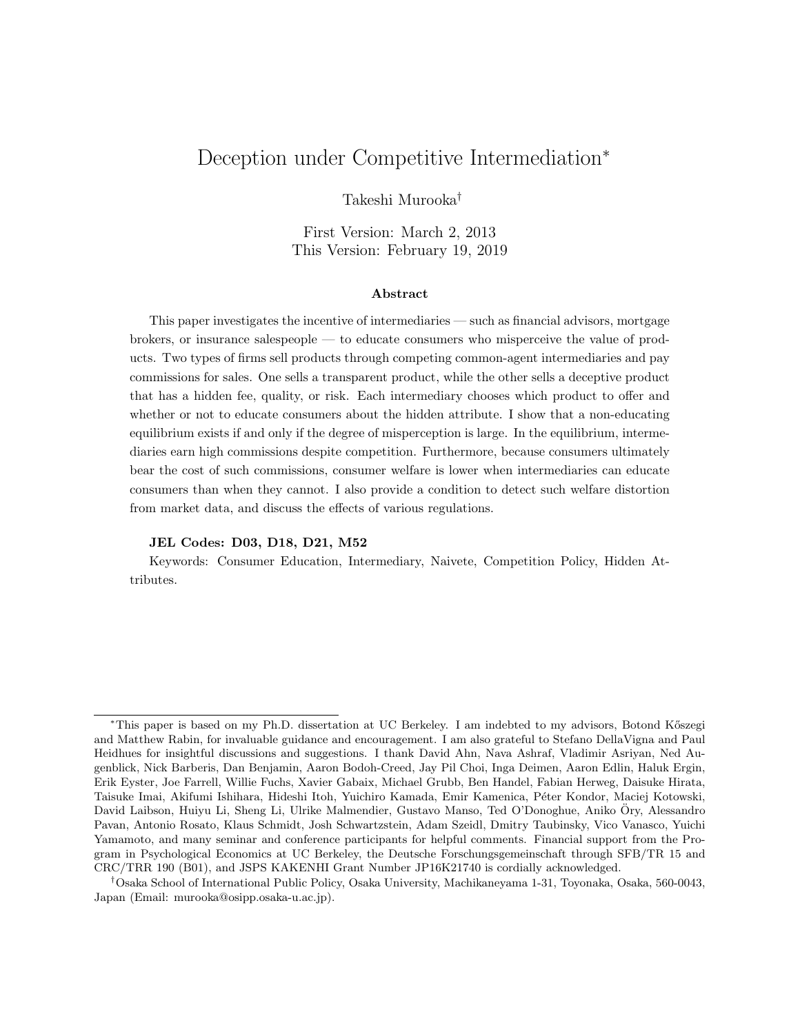# Deception under Competitive Intermediation<sup>∗</sup>

Takeshi Murooka†

First Version: March 2, 2013 This Version: February 19, 2019

#### Abstract

This paper investigates the incentive of intermediaries — such as financial advisors, mortgage brokers, or insurance salespeople — to educate consumers who misperceive the value of products. Two types of firms sell products through competing common-agent intermediaries and pay commissions for sales. One sells a transparent product, while the other sells a deceptive product that has a hidden fee, quality, or risk. Each intermediary chooses which product to offer and whether or not to educate consumers about the hidden attribute. I show that a non-educating equilibrium exists if and only if the degree of misperception is large. In the equilibrium, intermediaries earn high commissions despite competition. Furthermore, because consumers ultimately bear the cost of such commissions, consumer welfare is lower when intermediaries can educate consumers than when they cannot. I also provide a condition to detect such welfare distortion from market data, and discuss the effects of various regulations.

#### JEL Codes: D03, D18, D21, M52

Keywords: Consumer Education, Intermediary, Naivete, Competition Policy, Hidden Attributes.

<sup>∗</sup>This paper is based on my Ph.D. dissertation at UC Berkeley. I am indebted to my advisors, Botond K˝oszegi and Matthew Rabin, for invaluable guidance and encouragement. I am also grateful to Stefano DellaVigna and Paul Heidhues for insightful discussions and suggestions. I thank David Ahn, Nava Ashraf, Vladimir Asriyan, Ned Augenblick, Nick Barberis, Dan Benjamin, Aaron Bodoh-Creed, Jay Pil Choi, Inga Deimen, Aaron Edlin, Haluk Ergin, Erik Eyster, Joe Farrell, Willie Fuchs, Xavier Gabaix, Michael Grubb, Ben Handel, Fabian Herweg, Daisuke Hirata, Taisuke Imai, Akifumi Ishihara, Hideshi Itoh, Yuichiro Kamada, Emir Kamenica, P´eter Kondor, Maciej Kotowski, David Laibson, Huiyu Li, Sheng Li, Ulrike Malmendier, Gustavo Manso, Ted O'Donoghue, Aniko Ory, Alessandro ¨ Pavan, Antonio Rosato, Klaus Schmidt, Josh Schwartzstein, Adam Szeidl, Dmitry Taubinsky, Vico Vanasco, Yuichi Yamamoto, and many seminar and conference participants for helpful comments. Financial support from the Program in Psychological Economics at UC Berkeley, the Deutsche Forschungsgemeinschaft through SFB/TR 15 and CRC/TRR 190 (B01), and JSPS KAKENHI Grant Number JP16K21740 is cordially acknowledged.

<sup>†</sup>Osaka School of International Public Policy, Osaka University, Machikaneyama 1-31, Toyonaka, Osaka, 560-0043, Japan (Email: murooka@osipp.osaka-u.ac.jp).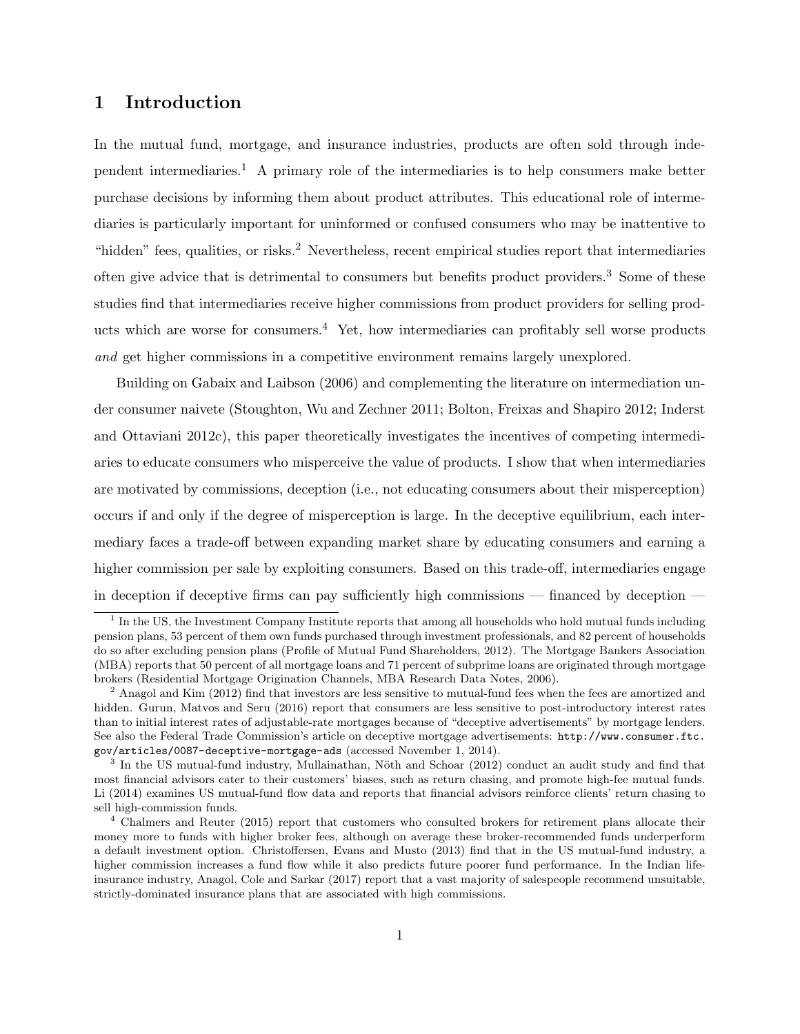## 1 Introduction

In the mutual fund, mortgage, and insurance industries, products are often sold through independent intermediaries.<sup>1</sup> A primary role of the intermediaries is to help consumers make better purchase decisions by informing them about product attributes. This educational role of intermediaries is particularly important for uninformed or confused consumers who may be inattentive to "hidden" fees, qualities, or risks.<sup>2</sup> Nevertheless, recent empirical studies report that intermediaries often give advice that is detrimental to consumers but benefits product providers.<sup>3</sup> Some of these studies find that intermediaries receive higher commissions from product providers for selling products which are worse for consumers.<sup>4</sup> Yet, how intermediaries can profitably sell worse products and get higher commissions in a competitive environment remains largely unexplored.

Building on Gabaix and Laibson (2006) and complementing the literature on intermediation under consumer naivete (Stoughton, Wu and Zechner 2011; Bolton, Freixas and Shapiro 2012; Inderst and Ottaviani 2012c), this paper theoretically investigates the incentives of competing intermediaries to educate consumers who misperceive the value of products. I show that when intermediaries are motivated by commissions, deception (i.e., not educating consumers about their misperception) occurs if and only if the degree of misperception is large. In the deceptive equilibrium, each intermediary faces a trade-off between expanding market share by educating consumers and earning a higher commission per sale by exploiting consumers. Based on this trade-off, intermediaries engage in deception if deceptive firms can pay sufficiently high commissions — financed by deception —

<sup>&</sup>lt;sup>1</sup> In the US, the Investment Company Institute reports that among all households who hold mutual funds including pension plans, 53 percent of them own funds purchased through investment professionals, and 82 percent of households do so after excluding pension plans (Profile of Mutual Fund Shareholders, 2012). The Mortgage Bankers Association (MBA) reports that 50 percent of all mortgage loans and 71 percent of subprime loans are originated through mortgage brokers (Residential Mortgage Origination Channels, MBA Research Data Notes, 2006).

 $2$  Anagol and Kim (2012) find that investors are less sensitive to mutual-fund fees when the fees are amortized and hidden. Gurun, Matvos and Seru (2016) report that consumers are less sensitive to post-introductory interest rates than to initial interest rates of adjustable-rate mortgages because of "deceptive advertisements" by mortgage lenders. See also the Federal Trade Commission's article on deceptive mortgage advertisements: http://www.consumer.ftc. gov/articles/0087-deceptive-mortgage-ads (accessed November 1, 2014).

<sup>&</sup>lt;sup>3</sup> In the US mutual-fund industry, Mullainathan, Nöth and Schoar (2012) conduct an audit study and find that most financial advisors cater to their customers' biases, such as return chasing, and promote high-fee mutual funds. Li (2014) examines US mutual-fund flow data and reports that financial advisors reinforce clients' return chasing to sell high-commission funds.

<sup>4</sup> Chalmers and Reuter (2015) report that customers who consulted brokers for retirement plans allocate their money more to funds with higher broker fees, although on average these broker-recommended funds underperform a default investment option. Christoffersen, Evans and Musto (2013) find that in the US mutual-fund industry, a higher commission increases a fund flow while it also predicts future poorer fund performance. In the Indian lifeinsurance industry, Anagol, Cole and Sarkar (2017) report that a vast majority of salespeople recommend unsuitable, strictly-dominated insurance plans that are associated with high commissions.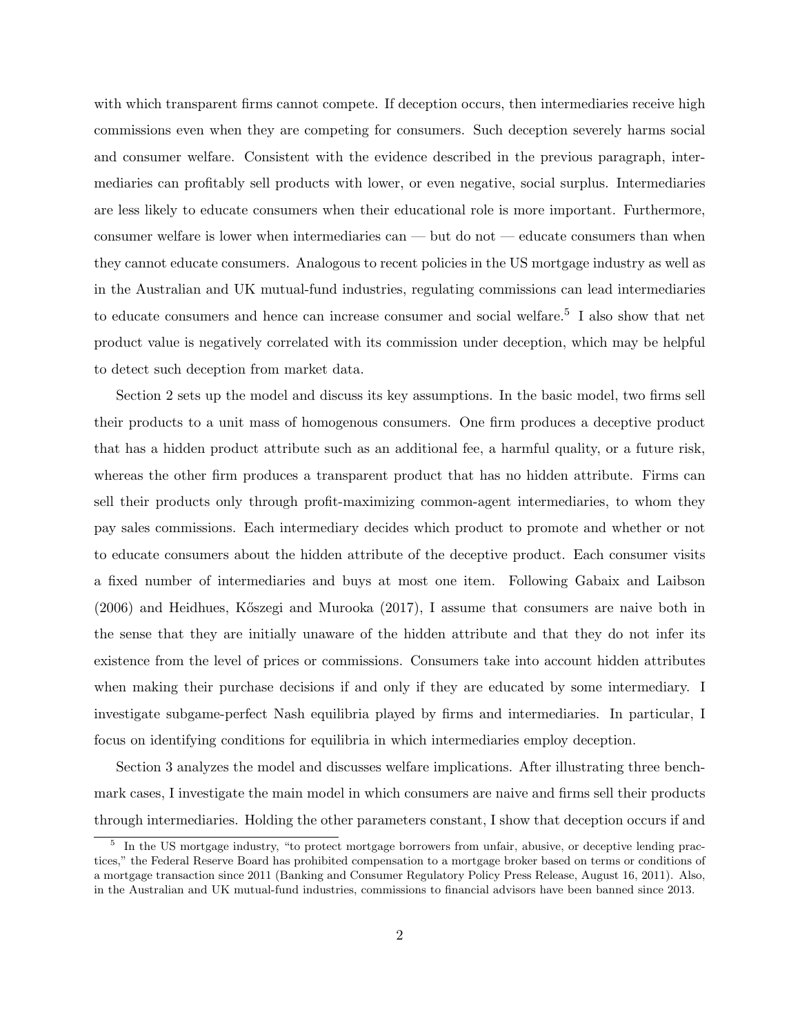with which transparent firms cannot compete. If deception occurs, then intermediaries receive high commissions even when they are competing for consumers. Such deception severely harms social and consumer welfare. Consistent with the evidence described in the previous paragraph, intermediaries can profitably sell products with lower, or even negative, social surplus. Intermediaries are less likely to educate consumers when their educational role is more important. Furthermore, consumer welfare is lower when intermediaries can — but do not — educate consumers than when they cannot educate consumers. Analogous to recent policies in the US mortgage industry as well as in the Australian and UK mutual-fund industries, regulating commissions can lead intermediaries to educate consumers and hence can increase consumer and social welfare.<sup>5</sup> I also show that net product value is negatively correlated with its commission under deception, which may be helpful to detect such deception from market data.

Section 2 sets up the model and discuss its key assumptions. In the basic model, two firms sell their products to a unit mass of homogenous consumers. One firm produces a deceptive product that has a hidden product attribute such as an additional fee, a harmful quality, or a future risk, whereas the other firm produces a transparent product that has no hidden attribute. Firms can sell their products only through profit-maximizing common-agent intermediaries, to whom they pay sales commissions. Each intermediary decides which product to promote and whether or not to educate consumers about the hidden attribute of the deceptive product. Each consumer visits a fixed number of intermediaries and buys at most one item. Following Gabaix and Laibson  $(2006)$  and Heidhues, Kőszegi and Murooka  $(2017)$ , I assume that consumers are naive both in the sense that they are initially unaware of the hidden attribute and that they do not infer its existence from the level of prices or commissions. Consumers take into account hidden attributes when making their purchase decisions if and only if they are educated by some intermediary. I investigate subgame-perfect Nash equilibria played by firms and intermediaries. In particular, I focus on identifying conditions for equilibria in which intermediaries employ deception.

Section 3 analyzes the model and discusses welfare implications. After illustrating three benchmark cases, I investigate the main model in which consumers are naive and firms sell their products through intermediaries. Holding the other parameters constant, I show that deception occurs if and

<sup>&</sup>lt;sup>5</sup> In the US mortgage industry, "to protect mortgage borrowers from unfair, abusive, or deceptive lending practices," the Federal Reserve Board has prohibited compensation to a mortgage broker based on terms or conditions of a mortgage transaction since 2011 (Banking and Consumer Regulatory Policy Press Release, August 16, 2011). Also, in the Australian and UK mutual-fund industries, commissions to financial advisors have been banned since 2013.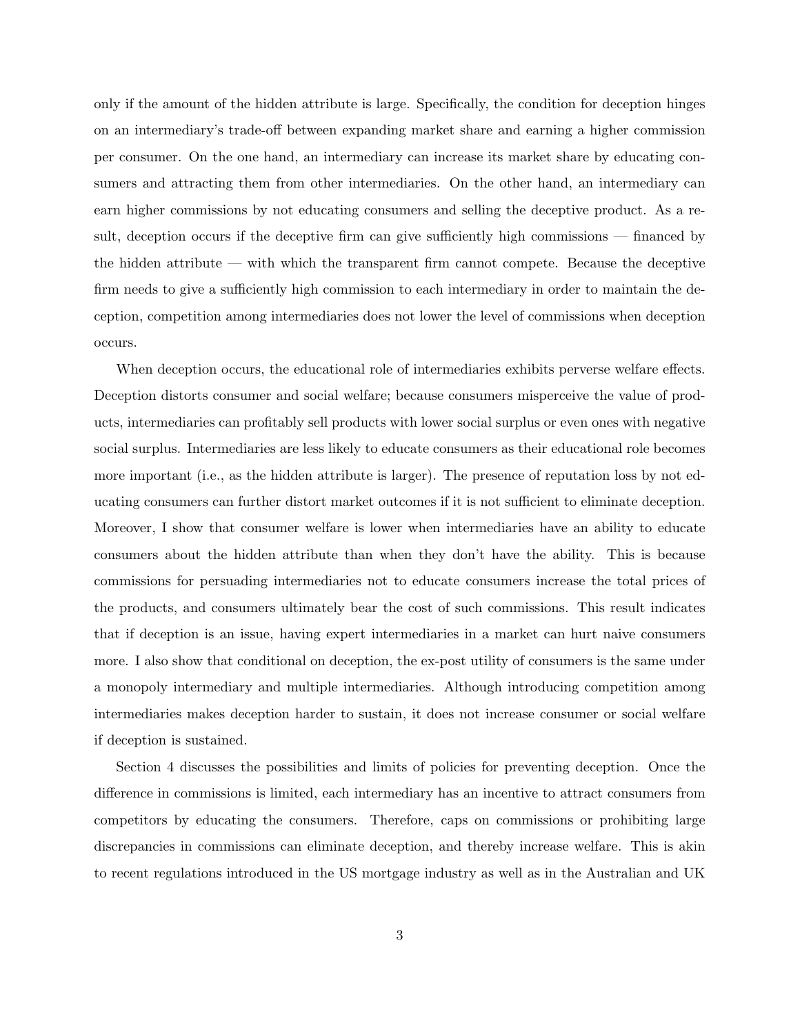only if the amount of the hidden attribute is large. Specifically, the condition for deception hinges on an intermediary's trade-off between expanding market share and earning a higher commission per consumer. On the one hand, an intermediary can increase its market share by educating consumers and attracting them from other intermediaries. On the other hand, an intermediary can earn higher commissions by not educating consumers and selling the deceptive product. As a result, deception occurs if the deceptive firm can give sufficiently high commissions — financed by the hidden attribute — with which the transparent firm cannot compete. Because the deceptive firm needs to give a sufficiently high commission to each intermediary in order to maintain the deception, competition among intermediaries does not lower the level of commissions when deception occurs.

When deception occurs, the educational role of intermediaries exhibits perverse welfare effects. Deception distorts consumer and social welfare; because consumers misperceive the value of products, intermediaries can profitably sell products with lower social surplus or even ones with negative social surplus. Intermediaries are less likely to educate consumers as their educational role becomes more important (i.e., as the hidden attribute is larger). The presence of reputation loss by not educating consumers can further distort market outcomes if it is not sufficient to eliminate deception. Moreover, I show that consumer welfare is lower when intermediaries have an ability to educate consumers about the hidden attribute than when they don't have the ability. This is because commissions for persuading intermediaries not to educate consumers increase the total prices of the products, and consumers ultimately bear the cost of such commissions. This result indicates that if deception is an issue, having expert intermediaries in a market can hurt naive consumers more. I also show that conditional on deception, the ex-post utility of consumers is the same under a monopoly intermediary and multiple intermediaries. Although introducing competition among intermediaries makes deception harder to sustain, it does not increase consumer or social welfare if deception is sustained.

Section 4 discusses the possibilities and limits of policies for preventing deception. Once the difference in commissions is limited, each intermediary has an incentive to attract consumers from competitors by educating the consumers. Therefore, caps on commissions or prohibiting large discrepancies in commissions can eliminate deception, and thereby increase welfare. This is akin to recent regulations introduced in the US mortgage industry as well as in the Australian and UK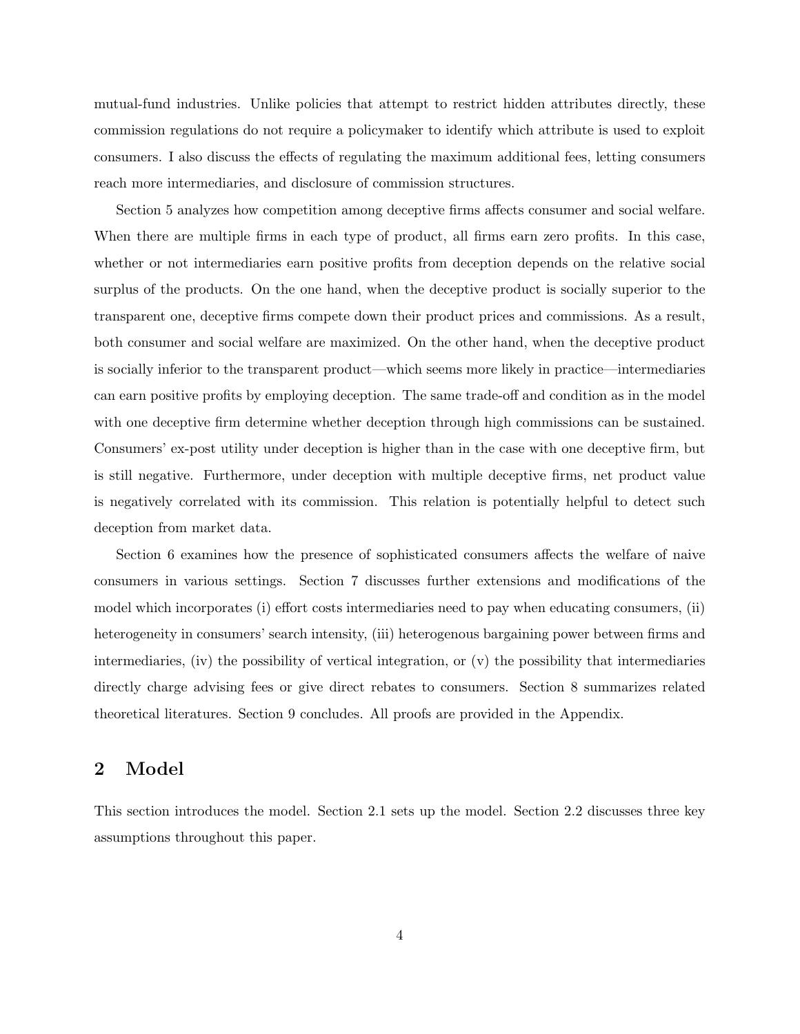mutual-fund industries. Unlike policies that attempt to restrict hidden attributes directly, these commission regulations do not require a policymaker to identify which attribute is used to exploit consumers. I also discuss the effects of regulating the maximum additional fees, letting consumers reach more intermediaries, and disclosure of commission structures.

Section 5 analyzes how competition among deceptive firms affects consumer and social welfare. When there are multiple firms in each type of product, all firms earn zero profits. In this case, whether or not intermediaries earn positive profits from deception depends on the relative social surplus of the products. On the one hand, when the deceptive product is socially superior to the transparent one, deceptive firms compete down their product prices and commissions. As a result, both consumer and social welfare are maximized. On the other hand, when the deceptive product is socially inferior to the transparent product—which seems more likely in practice—intermediaries can earn positive profits by employing deception. The same trade-off and condition as in the model with one deceptive firm determine whether deception through high commissions can be sustained. Consumers' ex-post utility under deception is higher than in the case with one deceptive firm, but is still negative. Furthermore, under deception with multiple deceptive firms, net product value is negatively correlated with its commission. This relation is potentially helpful to detect such deception from market data.

Section 6 examines how the presence of sophisticated consumers affects the welfare of naive consumers in various settings. Section 7 discusses further extensions and modifications of the model which incorporates (i) effort costs intermediaries need to pay when educating consumers, (ii) heterogeneity in consumers' search intensity, (iii) heterogenous bargaining power between firms and intermediaries, (iv) the possibility of vertical integration, or (v) the possibility that intermediaries directly charge advising fees or give direct rebates to consumers. Section 8 summarizes related theoretical literatures. Section 9 concludes. All proofs are provided in the Appendix.

### 2 Model

This section introduces the model. Section 2.1 sets up the model. Section 2.2 discusses three key assumptions throughout this paper.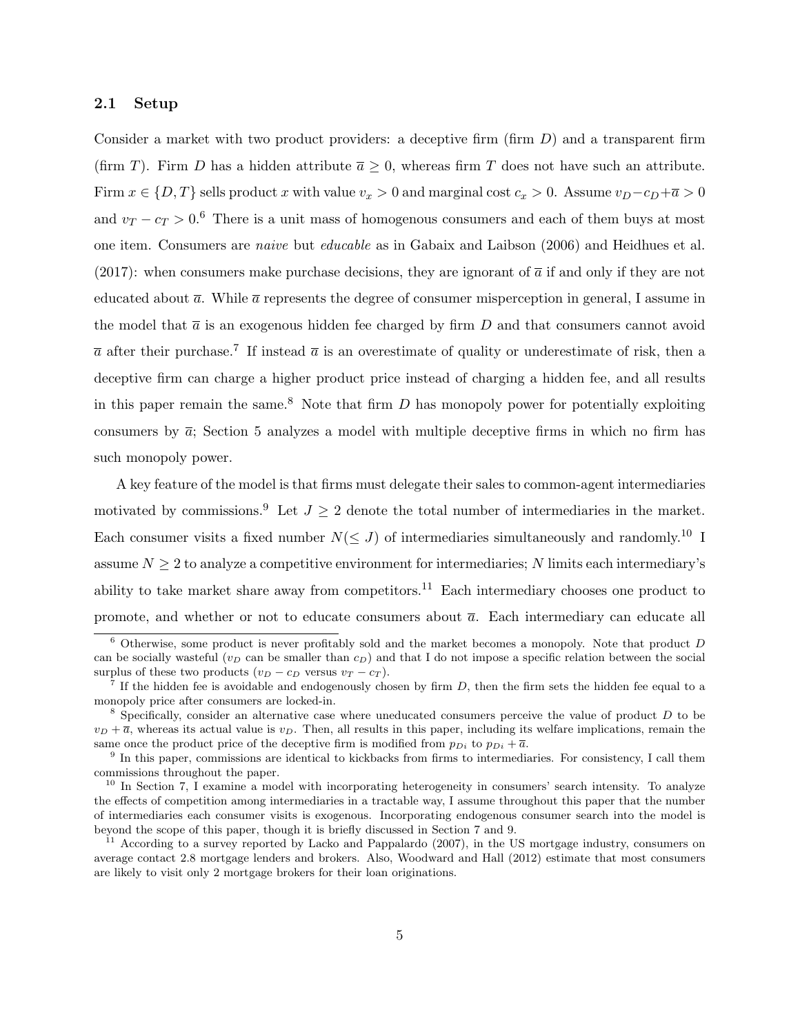#### 2.1 Setup

Consider a market with two product providers: a deceptive firm  $(\text{firm } D)$  and a transparent firm (firm T). Firm D has a hidden attribute  $\overline{a} \geq 0$ , whereas firm T does not have such an attribute. Firm  $x \in \{D, T\}$  sells product x with value  $v_x > 0$  and marginal cost  $c_x > 0$ . Assume  $v_D - c_D + \overline{a} > 0$ and  $v_T - c_T > 0.6$  There is a unit mass of homogenous consumers and each of them buys at most one item. Consumers are naive but educable as in Gabaix and Laibson (2006) and Heidhues et al. (2017): when consumers make purchase decisions, they are ignorant of  $\bar{a}$  if and only if they are not educated about  $\bar{a}$ . While  $\bar{a}$  represents the degree of consumer misperception in general, I assume in the model that  $\bar{a}$  is an exogenous hidden fee charged by firm D and that consumers cannot avoid  $\bar{a}$  after their purchase.<sup>7</sup> If instead  $\bar{a}$  is an overestimate of quality or underestimate of risk, then a deceptive firm can charge a higher product price instead of charging a hidden fee, and all results in this paper remain the same.<sup>8</sup> Note that firm  $D$  has monopoly power for potentially exploiting consumers by  $\bar{a}$ ; Section 5 analyzes a model with multiple deceptive firms in which no firm has such monopoly power.

A key feature of the model is that firms must delegate their sales to common-agent intermediaries motivated by commissions.<sup>9</sup> Let  $J \geq 2$  denote the total number of intermediaries in the market. Each consumer visits a fixed number  $N(\leq J)$  of intermediaries simultaneously and randomly.<sup>10</sup> I assume  $N \geq 2$  to analyze a competitive environment for intermediaries; N limits each intermediary's ability to take market share away from competitors.<sup>11</sup> Each intermediary chooses one product to promote, and whether or not to educate consumers about  $\bar{a}$ . Each intermediary can educate all

 $6$  Otherwise, some product is never profitably sold and the market becomes a monopoly. Note that product D can be socially wasteful ( $v_D$  can be smaller than  $c_D$ ) and that I do not impose a specific relation between the social surplus of these two products  $(v_D - c_D \text{ versus } v_T - c_T)$ .

<sup>&</sup>lt;sup>7</sup> If the hidden fee is avoidable and endogenously chosen by firm  $D$ , then the firm sets the hidden fee equal to a monopoly price after consumers are locked-in.

 $8$  Specifically, consider an alternative case where uneducated consumers perceive the value of product  $D$  to be  $v_D + \overline{a}$ , whereas its actual value is  $v_D$ . Then, all results in this paper, including its welfare implications, remain the same once the product price of the deceptive firm is modified from  $p_{Di}$  to  $p_{Di} + \overline{a}$ .

<sup>&</sup>lt;sup>9</sup> In this paper, commissions are identical to kickbacks from firms to intermediaries. For consistency, I call them commissions throughout the paper.

<sup>&</sup>lt;sup>10</sup> In Section 7, I examine a model with incorporating heterogeneity in consumers' search intensity. To analyze the effects of competition among intermediaries in a tractable way, I assume throughout this paper that the number of intermediaries each consumer visits is exogenous. Incorporating endogenous consumer search into the model is beyond the scope of this paper, though it is briefly discussed in Section 7 and 9.

<sup>&</sup>lt;sup>11</sup> According to a survey reported by Lacko and Pappalardo (2007), in the US mortgage industry, consumers on average contact 2.8 mortgage lenders and brokers. Also, Woodward and Hall (2012) estimate that most consumers are likely to visit only 2 mortgage brokers for their loan originations.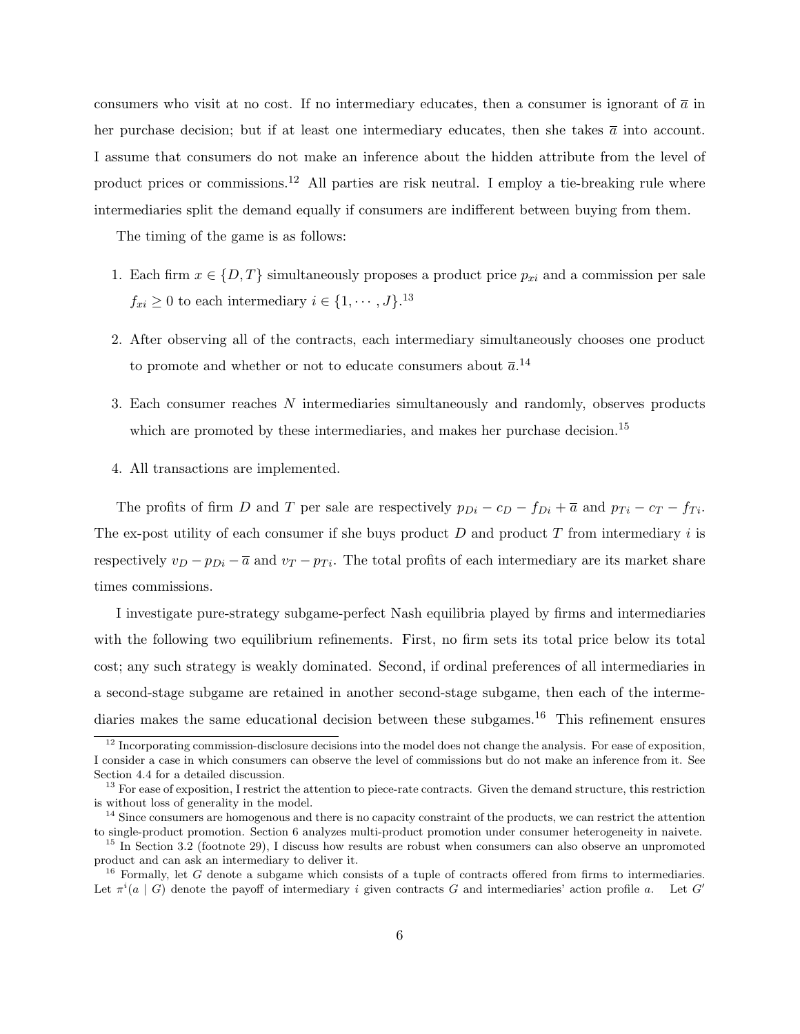consumers who visit at no cost. If no intermediary educates, then a consumer is ignorant of  $\bar{a}$  in her purchase decision; but if at least one intermediary educates, then she takes  $\bar{a}$  into account. I assume that consumers do not make an inference about the hidden attribute from the level of product prices or commissions.<sup>12</sup> All parties are risk neutral. I employ a tie-breaking rule where intermediaries split the demand equally if consumers are indifferent between buying from them.

The timing of the game is as follows:

- 1. Each firm  $x \in \{D, T\}$  simultaneously proposes a product price  $p_{xi}$  and a commission per sale  $f_{xi} \geq 0$  to each intermediary  $i \in \{1, \cdots, J\}$ .<sup>13</sup>
- 2. After observing all of the contracts, each intermediary simultaneously chooses one product to promote and whether or not to educate consumers about  $\bar{a}$ .<sup>14</sup>
- 3. Each consumer reaches N intermediaries simultaneously and randomly, observes products which are promoted by these intermediaries, and makes her purchase decision.<sup>15</sup>
- 4. All transactions are implemented.

The profits of firm D and T per sale are respectively  $p_{Di} - c_D - f_{Di} + \overline{a}$  and  $p_{Ti} - c_T - f_{Ti}$ . The ex-post utility of each consumer if she buys product  $D$  and product  $T$  from intermediary i is respectively  $v_D - p_{Di} - \overline{a}$  and  $v_T - p_{Ti}$ . The total profits of each intermediary are its market share times commissions.

I investigate pure-strategy subgame-perfect Nash equilibria played by firms and intermediaries with the following two equilibrium refinements. First, no firm sets its total price below its total cost; any such strategy is weakly dominated. Second, if ordinal preferences of all intermediaries in a second-stage subgame are retained in another second-stage subgame, then each of the intermediaries makes the same educational decision between these subgames.<sup>16</sup> This refinement ensures

 $12$  Incorporating commission-disclosure decisions into the model does not change the analysis. For ease of exposition, I consider a case in which consumers can observe the level of commissions but do not make an inference from it. See Section 4.4 for a detailed discussion.

<sup>&</sup>lt;sup>13</sup> For ease of exposition, I restrict the attention to piece-rate contracts. Given the demand structure, this restriction is without loss of generality in the model.

 $14$  Since consumers are homogenous and there is no capacity constraint of the products, we can restrict the attention to single-product promotion. Section 6 analyzes multi-product promotion under consumer heterogeneity in naivete.

<sup>&</sup>lt;sup>15</sup> In Section 3.2 (footnote 29), I discuss how results are robust when consumers can also observe an unpromoted product and can ask an intermediary to deliver it.

 $16$  Formally, let G denote a subgame which consists of a tuple of contracts offered from firms to intermediaries. Let  $\pi^i(a \mid G)$  denote the payoff of intermediary i given contracts G and intermediaries' action profile a. Let G'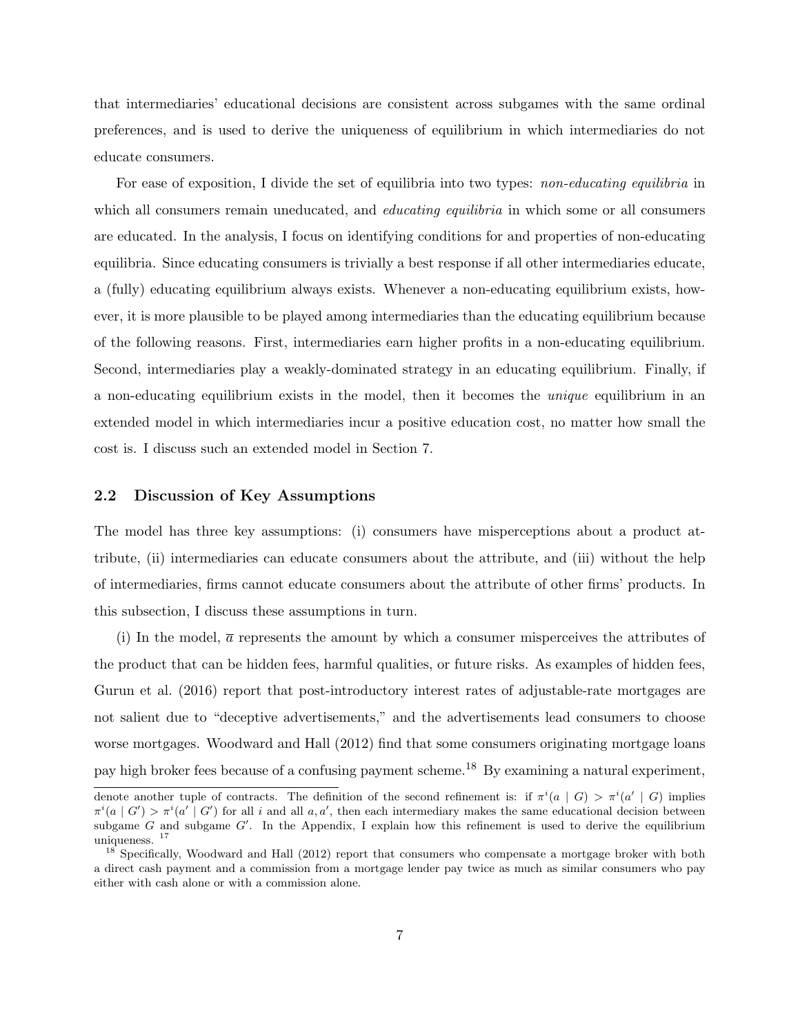that intermediaries' educational decisions are consistent across subgames with the same ordinal preferences, and is used to derive the uniqueness of equilibrium in which intermediaries do not educate consumers.

For ease of exposition, I divide the set of equilibria into two types: *non-educating equilibria* in which all consumers remain uneducated, and *educating equilibria* in which some or all consumers are educated. In the analysis, I focus on identifying conditions for and properties of non-educating equilibria. Since educating consumers is trivially a best response if all other intermediaries educate, a (fully) educating equilibrium always exists. Whenever a non-educating equilibrium exists, however, it is more plausible to be played among intermediaries than the educating equilibrium because of the following reasons. First, intermediaries earn higher profits in a non-educating equilibrium. Second, intermediaries play a weakly-dominated strategy in an educating equilibrium. Finally, if a non-educating equilibrium exists in the model, then it becomes the unique equilibrium in an extended model in which intermediaries incur a positive education cost, no matter how small the cost is. I discuss such an extended model in Section 7.

#### 2.2 Discussion of Key Assumptions

The model has three key assumptions: (i) consumers have misperceptions about a product attribute, (ii) intermediaries can educate consumers about the attribute, and (iii) without the help of intermediaries, firms cannot educate consumers about the attribute of other firms' products. In this subsection, I discuss these assumptions in turn.

(i) In the model,  $\bar{a}$  represents the amount by which a consumer misperceives the attributes of the product that can be hidden fees, harmful qualities, or future risks. As examples of hidden fees, Gurun et al. (2016) report that post-introductory interest rates of adjustable-rate mortgages are not salient due to "deceptive advertisements," and the advertisements lead consumers to choose worse mortgages. Woodward and Hall (2012) find that some consumers originating mortgage loans pay high broker fees because of a confusing payment scheme.<sup>18</sup> By examining a natural experiment,

denote another tuple of contracts. The definition of the second refinement is: if  $\pi^i(a \mid G) > \pi^i(a' \mid G)$  implies  $\pi^{i}(a | G') > \pi^{i}(a' | G')$  for all i and all  $a, a'$ , then each intermediary makes the same educational decision between subgame  $G$  and subgame  $G'$ . In the Appendix, I explain how this refinement is used to derive the equilibrium uniqueness. <sup>17</sup>

 $18$  Specifically, Woodward and Hall (2012) report that consumers who compensate a mortgage broker with both a direct cash payment and a commission from a mortgage lender pay twice as much as similar consumers who pay either with cash alone or with a commission alone.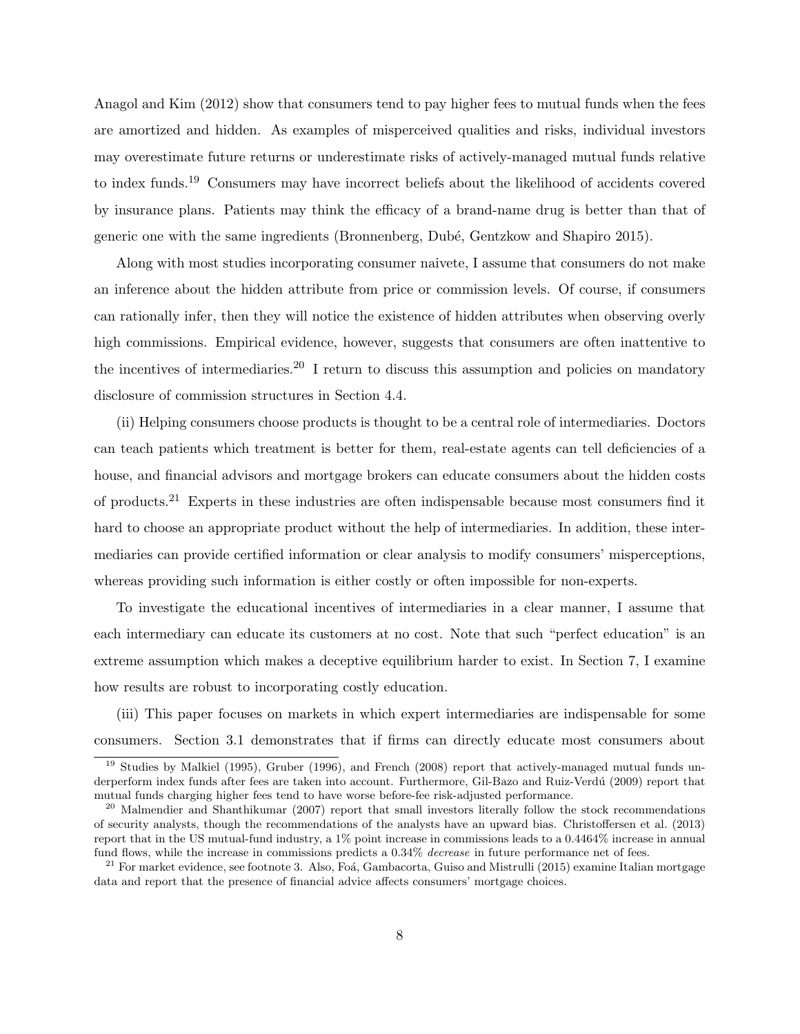Anagol and Kim (2012) show that consumers tend to pay higher fees to mutual funds when the fees are amortized and hidden. As examples of misperceived qualities and risks, individual investors may overestimate future returns or underestimate risks of actively-managed mutual funds relative to index funds.<sup>19</sup> Consumers may have incorrect beliefs about the likelihood of accidents covered by insurance plans. Patients may think the efficacy of a brand-name drug is better than that of generic one with the same ingredients (Bronnenberg, Dub´e, Gentzkow and Shapiro 2015).

Along with most studies incorporating consumer naivete, I assume that consumers do not make an inference about the hidden attribute from price or commission levels. Of course, if consumers can rationally infer, then they will notice the existence of hidden attributes when observing overly high commissions. Empirical evidence, however, suggests that consumers are often inattentive to the incentives of intermediaries.<sup>20</sup> I return to discuss this assumption and policies on mandatory disclosure of commission structures in Section 4.4.

(ii) Helping consumers choose products is thought to be a central role of intermediaries. Doctors can teach patients which treatment is better for them, real-estate agents can tell deficiencies of a house, and financial advisors and mortgage brokers can educate consumers about the hidden costs of products.<sup>21</sup> Experts in these industries are often indispensable because most consumers find it hard to choose an appropriate product without the help of intermediaries. In addition, these intermediaries can provide certified information or clear analysis to modify consumers' misperceptions, whereas providing such information is either costly or often impossible for non-experts.

To investigate the educational incentives of intermediaries in a clear manner, I assume that each intermediary can educate its customers at no cost. Note that such "perfect education" is an extreme assumption which makes a deceptive equilibrium harder to exist. In Section 7, I examine how results are robust to incorporating costly education.

(iii) This paper focuses on markets in which expert intermediaries are indispensable for some consumers. Section 3.1 demonstrates that if firms can directly educate most consumers about

<sup>&</sup>lt;sup>19</sup> Studies by Malkiel (1995), Gruber (1996), and French (2008) report that actively-managed mutual funds underperform index funds after fees are taken into account. Furthermore, Gil-Bazo and Ruiz-Verdú (2009) report that mutual funds charging higher fees tend to have worse before-fee risk-adjusted performance.

<sup>&</sup>lt;sup>20</sup> Malmendier and Shanthikumar (2007) report that small investors literally follow the stock recommendations of security analysts, though the recommendations of the analysts have an upward bias. Christoffersen et al. (2013) report that in the US mutual-fund industry, a 1% point increase in commissions leads to a 0.4464% increase in annual fund flows, while the increase in commissions predicts a 0.34% decrease in future performance net of fees.

 $^{21}$  For market evidence, see footnote 3. Also, Foá, Gambacorta, Guiso and Mistrulli (2015) examine Italian mortgage data and report that the presence of financial advice affects consumers' mortgage choices.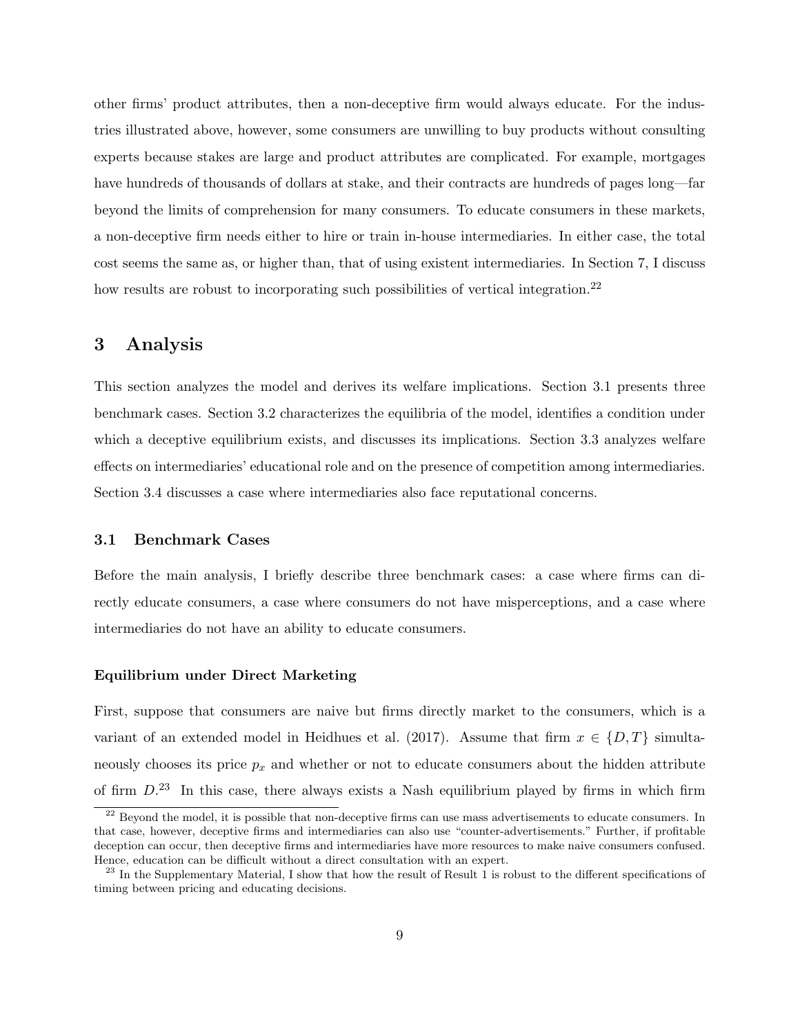other firms' product attributes, then a non-deceptive firm would always educate. For the industries illustrated above, however, some consumers are unwilling to buy products without consulting experts because stakes are large and product attributes are complicated. For example, mortgages have hundreds of thousands of dollars at stake, and their contracts are hundreds of pages long—far beyond the limits of comprehension for many consumers. To educate consumers in these markets, a non-deceptive firm needs either to hire or train in-house intermediaries. In either case, the total cost seems the same as, or higher than, that of using existent intermediaries. In Section 7, I discuss how results are robust to incorporating such possibilities of vertical integration.<sup>22</sup>

### 3 Analysis

This section analyzes the model and derives its welfare implications. Section 3.1 presents three benchmark cases. Section 3.2 characterizes the equilibria of the model, identifies a condition under which a deceptive equilibrium exists, and discusses its implications. Section 3.3 analyzes welfare effects on intermediaries' educational role and on the presence of competition among intermediaries. Section 3.4 discusses a case where intermediaries also face reputational concerns.

### 3.1 Benchmark Cases

Before the main analysis, I briefly describe three benchmark cases: a case where firms can directly educate consumers, a case where consumers do not have misperceptions, and a case where intermediaries do not have an ability to educate consumers.

#### Equilibrium under Direct Marketing

First, suppose that consumers are naive but firms directly market to the consumers, which is a variant of an extended model in Heidhues et al. (2017). Assume that firm  $x \in \{D, T\}$  simultaneously chooses its price  $p_x$  and whether or not to educate consumers about the hidden attribute of firm  $D^{23}$  In this case, there always exists a Nash equilibrium played by firms in which firm

 $^{22}$  Beyond the model, it is possible that non-deceptive firms can use mass advertisements to educate consumers. In that case, however, deceptive firms and intermediaries can also use "counter-advertisements." Further, if profitable deception can occur, then deceptive firms and intermediaries have more resources to make naive consumers confused. Hence, education can be difficult without a direct consultation with an expert.

<sup>&</sup>lt;sup>23</sup> In the Supplementary Material, I show that how the result of Result 1 is robust to the different specifications of timing between pricing and educating decisions.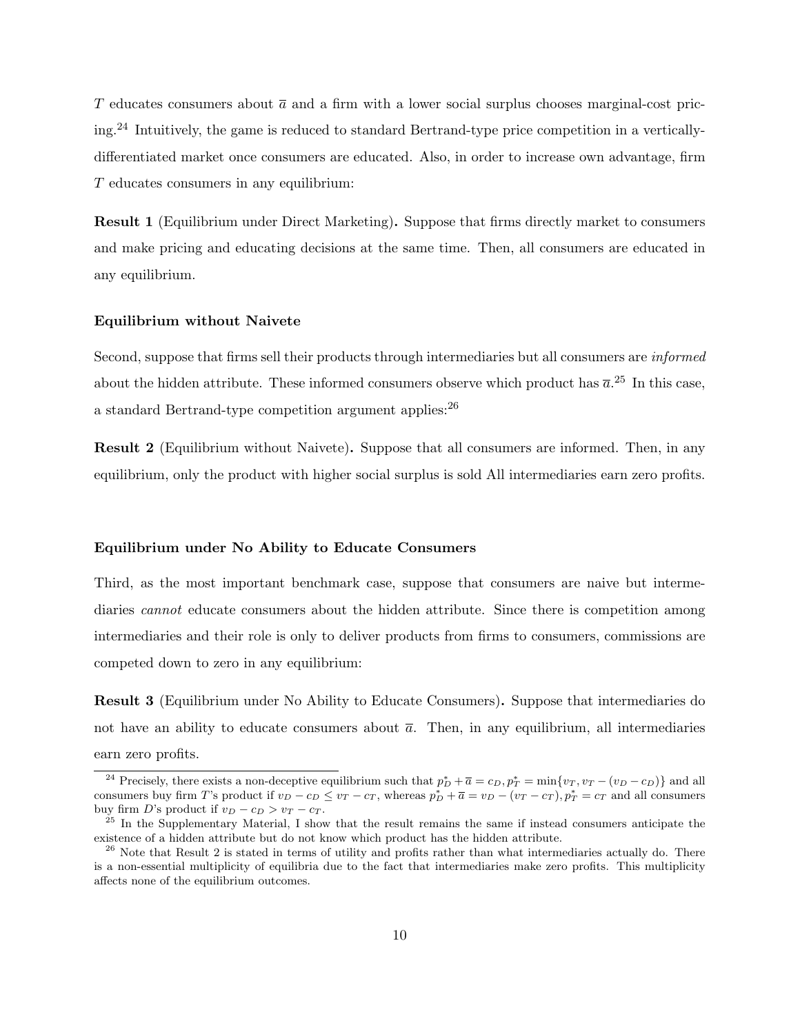T educates consumers about  $\bar{a}$  and a firm with a lower social surplus chooses marginal-cost pricing.<sup>24</sup> Intuitively, the game is reduced to standard Bertrand-type price competition in a verticallydifferentiated market once consumers are educated. Also, in order to increase own advantage, firm T educates consumers in any equilibrium:

Result 1 (Equilibrium under Direct Marketing). Suppose that firms directly market to consumers and make pricing and educating decisions at the same time. Then, all consumers are educated in any equilibrium.

#### Equilibrium without Naivete

Second, suppose that firms sell their products through intermediaries but all consumers are informed about the hidden attribute. These informed consumers observe which product has  $\bar{a}$ . <sup>25</sup> In this case, a standard Bertrand-type competition argument applies:<sup>26</sup>

Result 2 (Equilibrium without Naivete). Suppose that all consumers are informed. Then, in any equilibrium, only the product with higher social surplus is sold All intermediaries earn zero profits.

#### Equilibrium under No Ability to Educate Consumers

Third, as the most important benchmark case, suppose that consumers are naive but intermediaries *cannot* educate consumers about the hidden attribute. Since there is competition among intermediaries and their role is only to deliver products from firms to consumers, commissions are competed down to zero in any equilibrium:

Result 3 (Equilibrium under No Ability to Educate Consumers). Suppose that intermediaries do not have an ability to educate consumers about  $\bar{a}$ . Then, in any equilibrium, all intermediaries earn zero profits.

<sup>&</sup>lt;sup>24</sup> Precisely, there exists a non-deceptive equilibrium such that  $p_D^* + \overline{a} = c_D, p_T^* = \min\{v_T, v_T - (v_D - c_D)\}\$ and all consumers buy firm T's product if  $v_D - c_D \le v_T - c_T$ , whereas  $p_D^* + \overline{a} = v_D - (v_T - c_T)$ ,  $p_T^* = c_T$  and all consumers buy firm D's product if  $v_D - c_D > v_T - c_T$ .

 $25$  In the Supplementary Material, I show that the result remains the same if instead consumers anticipate the existence of a hidden attribute but do not know which product has the hidden attribute.

 $^{26}$  Note that Result 2 is stated in terms of utility and profits rather than what intermediaries actually do. There is a non-essential multiplicity of equilibria due to the fact that intermediaries make zero profits. This multiplicity affects none of the equilibrium outcomes.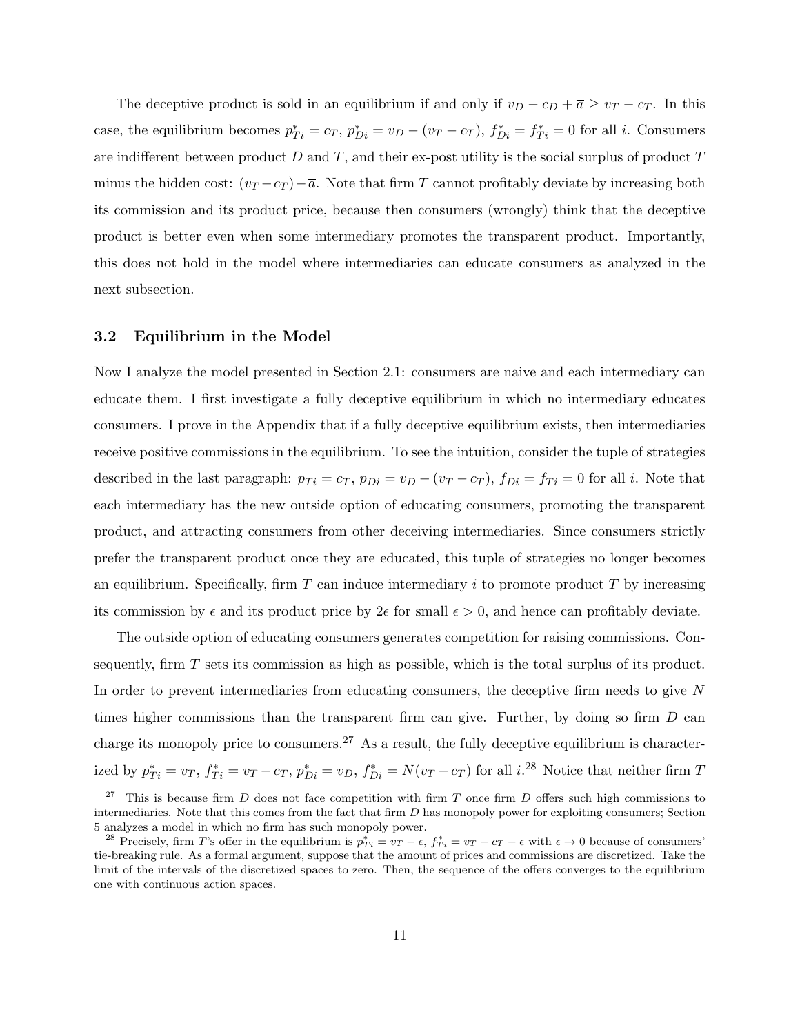The deceptive product is sold in an equilibrium if and only if  $v_D - c_D + \overline{a} \ge v_T - c_T$ . In this case, the equilibrium becomes  $p_{Ti}^* = c_T$ ,  $p_{Di}^* = v_D - (v_T - c_T)$ ,  $f_{Di}^* = f_{Ti}^* = 0$  for all *i*. Consumers are indifferent between product  $D$  and  $T$ , and their ex-post utility is the social surplus of product  $T$ minus the hidden cost:  $(v_T - c_T) - \overline{a}$ . Note that firm T cannot profitably deviate by increasing both its commission and its product price, because then consumers (wrongly) think that the deceptive product is better even when some intermediary promotes the transparent product. Importantly, this does not hold in the model where intermediaries can educate consumers as analyzed in the next subsection.

#### 3.2 Equilibrium in the Model

Now I analyze the model presented in Section 2.1: consumers are naive and each intermediary can educate them. I first investigate a fully deceptive equilibrium in which no intermediary educates consumers. I prove in the Appendix that if a fully deceptive equilibrium exists, then intermediaries receive positive commissions in the equilibrium. To see the intuition, consider the tuple of strategies described in the last paragraph:  $p_{Ti} = c_T$ ,  $p_{Di} = v_D - (v_T - c_T)$ ,  $f_{Di} = f_{Ti} = 0$  for all *i*. Note that each intermediary has the new outside option of educating consumers, promoting the transparent product, and attracting consumers from other deceiving intermediaries. Since consumers strictly prefer the transparent product once they are educated, this tuple of strategies no longer becomes an equilibrium. Specifically, firm  $T$  can induce intermediary  $i$  to promote product  $T$  by increasing its commission by  $\epsilon$  and its product price by  $2\epsilon$  for small  $\epsilon > 0$ , and hence can profitably deviate.

The outside option of educating consumers generates competition for raising commissions. Consequently, firm  $T$  sets its commission as high as possible, which is the total surplus of its product. In order to prevent intermediaries from educating consumers, the deceptive firm needs to give N times higher commissions than the transparent firm can give. Further, by doing so firm  $D$  can charge its monopoly price to consumers.<sup>27</sup> As a result, the fully deceptive equilibrium is characterized by  $p_{Ti}^* = v_T$ ,  $f_{Ti}^* = v_T - c_T$ ,  $p_{Di}^* = v_D$ ,  $f_{Di}^* = N(v_T - c_T)$  for all  $i^{.28}$  Notice that neither firm T

<sup>&</sup>lt;sup>27</sup> This is because firm D does not face competition with firm T once firm D offers such high commissions to intermediaries. Note that this comes from the fact that firm  $D$  has monopoly power for exploiting consumers; Section 5 analyzes a model in which no firm has such monopoly power.

<sup>&</sup>lt;sup>28</sup> Precisely, firm T's offer in the equilibrium is  $p_{Ti}^* = v_T - \epsilon$ ,  $f_{Ti}^* = v_T - c_T - \epsilon$  with  $\epsilon \to 0$  because of consumers' tie-breaking rule. As a formal argument, suppose that the amount of prices and commissions are discretized. Take the limit of the intervals of the discretized spaces to zero. Then, the sequence of the offers converges to the equilibrium one with continuous action spaces.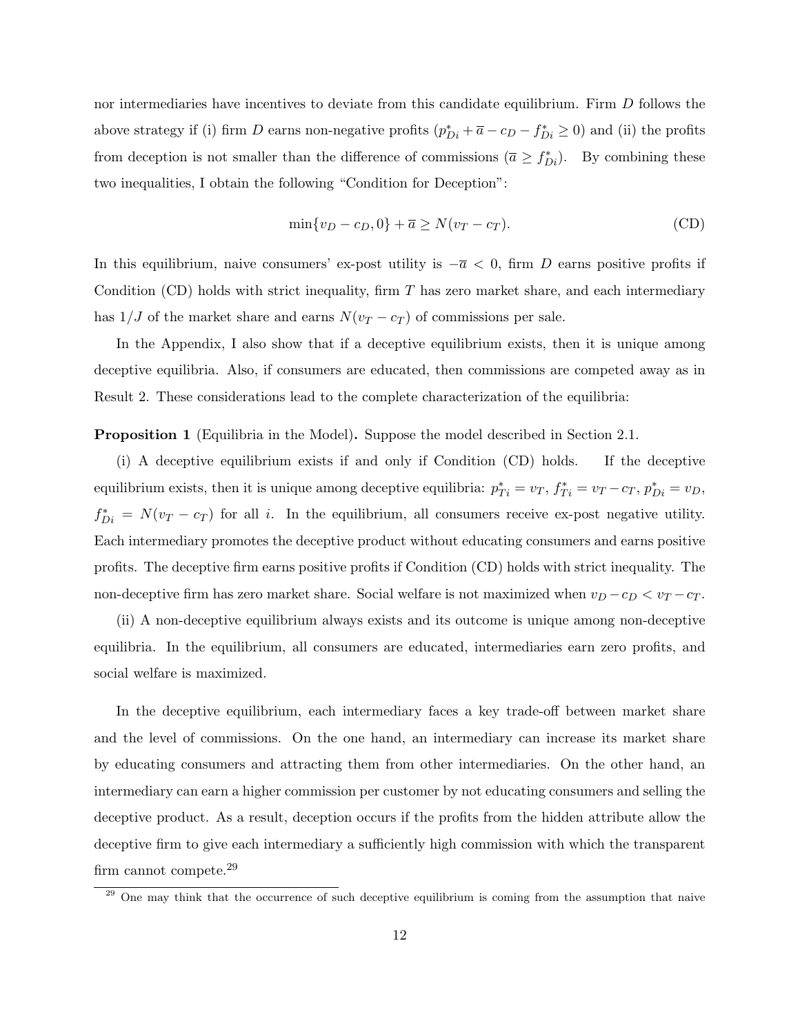nor intermediaries have incentives to deviate from this candidate equilibrium. Firm D follows the above strategy if (i) firm D earns non-negative profits  $(p_{Di}^* + \bar{a} - c_D - f_{Di}^* \ge 0)$  and (ii) the profits from deception is not smaller than the difference of commissions  $(\bar{a} \geq f_{Di}^*)$ . By combining these two inequalities, I obtain the following "Condition for Deception":

$$
\min\{v_D - c_D, 0\} + \overline{a} \ge N(v_T - c_T). \tag{CD}
$$

In this equilibrium, naive consumers' ex-post utility is  $-\bar{a} < 0$ , firm D earns positive profits if Condition (CD) holds with strict inequality, firm  $T$  has zero market share, and each intermediary has  $1/J$  of the market share and earns  $N(v_T - c_T)$  of commissions per sale.

In the Appendix, I also show that if a deceptive equilibrium exists, then it is unique among deceptive equilibria. Also, if consumers are educated, then commissions are competed away as in Result 2. These considerations lead to the complete characterization of the equilibria:

**Proposition 1** (Equilibria in the Model). Suppose the model described in Section 2.1.

(i) A deceptive equilibrium exists if and only if Condition (CD) holds. If the deceptive equilibrium exists, then it is unique among deceptive equilibria:  $p_{Ti}^* = v_T$ ,  $f_{Ti}^* = v_T - c_T$ ,  $p_{Di}^* = v_D$ ,  $f_{Di}^* = N(v_T - c_T)$  for all i. In the equilibrium, all consumers receive ex-post negative utility. Each intermediary promotes the deceptive product without educating consumers and earns positive profits. The deceptive firm earns positive profits if Condition (CD) holds with strict inequality. The non-deceptive firm has zero market share. Social welfare is not maximized when  $v_D - c_D < v_T - c_T$ .

(ii) A non-deceptive equilibrium always exists and its outcome is unique among non-deceptive equilibria. In the equilibrium, all consumers are educated, intermediaries earn zero profits, and social welfare is maximized.

In the deceptive equilibrium, each intermediary faces a key trade-off between market share and the level of commissions. On the one hand, an intermediary can increase its market share by educating consumers and attracting them from other intermediaries. On the other hand, an intermediary can earn a higher commission per customer by not educating consumers and selling the deceptive product. As a result, deception occurs if the profits from the hidden attribute allow the deceptive firm to give each intermediary a sufficiently high commission with which the transparent firm cannot compete.<sup>29</sup>

<sup>&</sup>lt;sup>29</sup> One may think that the occurrence of such deceptive equilibrium is coming from the assumption that naive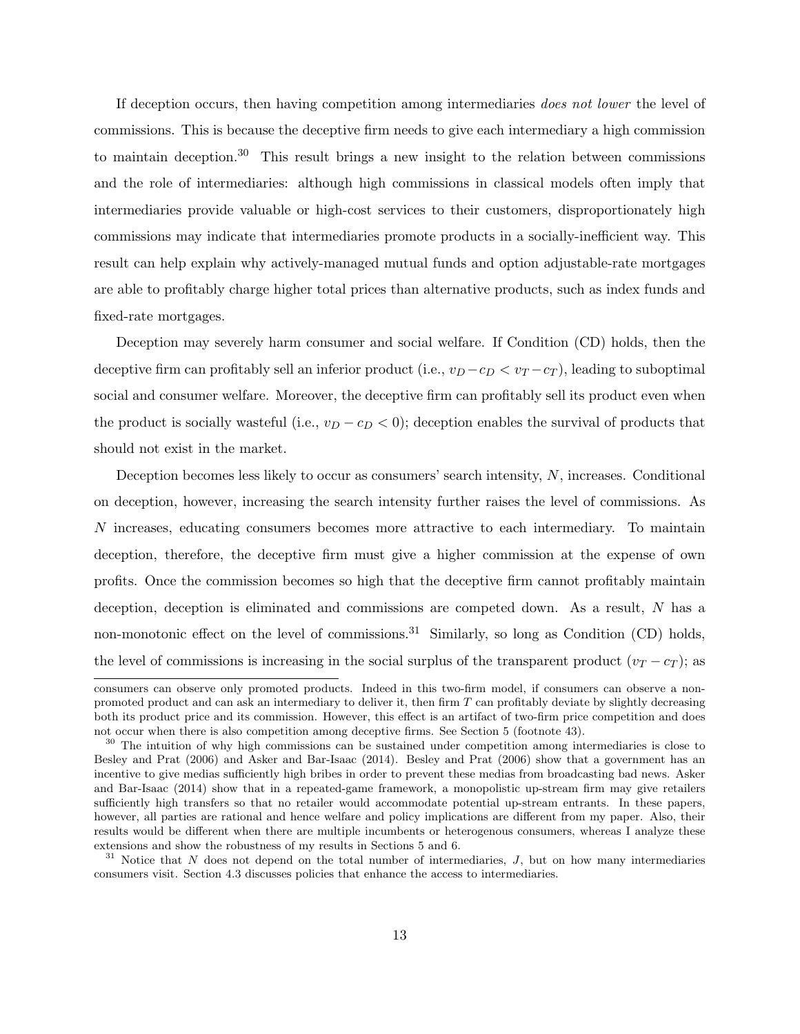If deception occurs, then having competition among intermediaries does not lower the level of commissions. This is because the deceptive firm needs to give each intermediary a high commission to maintain deception.<sup>30</sup> This result brings a new insight to the relation between commissions and the role of intermediaries: although high commissions in classical models often imply that intermediaries provide valuable or high-cost services to their customers, disproportionately high commissions may indicate that intermediaries promote products in a socially-inefficient way. This result can help explain why actively-managed mutual funds and option adjustable-rate mortgages are able to profitably charge higher total prices than alternative products, such as index funds and fixed-rate mortgages.

Deception may severely harm consumer and social welfare. If Condition (CD) holds, then the deceptive firm can profitably sell an inferior product (i.e.,  $v_D - c_D < v_T - c_T$ ), leading to suboptimal social and consumer welfare. Moreover, the deceptive firm can profitably sell its product even when the product is socially wasteful (i.e.,  $v_D - c_D < 0$ ); deception enables the survival of products that should not exist in the market.

Deception becomes less likely to occur as consumers' search intensity, N, increases. Conditional on deception, however, increasing the search intensity further raises the level of commissions. As N increases, educating consumers becomes more attractive to each intermediary. To maintain deception, therefore, the deceptive firm must give a higher commission at the expense of own profits. Once the commission becomes so high that the deceptive firm cannot profitably maintain deception, deception is eliminated and commissions are competed down. As a result, N has a non-monotonic effect on the level of commissions.<sup>31</sup> Similarly, so long as Condition (CD) holds, the level of commissions is increasing in the social surplus of the transparent product  $(v_T - c_T)$ ; as

consumers can observe only promoted products. Indeed in this two-firm model, if consumers can observe a nonpromoted product and can ask an intermediary to deliver it, then firm  $T$  can profitably deviate by slightly decreasing both its product price and its commission. However, this effect is an artifact of two-firm price competition and does not occur when there is also competition among deceptive firms. See Section 5 (footnote 43).

<sup>&</sup>lt;sup>30</sup> The intuition of why high commissions can be sustained under competition among intermediaries is close to Besley and Prat (2006) and Asker and Bar-Isaac (2014). Besley and Prat (2006) show that a government has an incentive to give medias sufficiently high bribes in order to prevent these medias from broadcasting bad news. Asker and Bar-Isaac (2014) show that in a repeated-game framework, a monopolistic up-stream firm may give retailers sufficiently high transfers so that no retailer would accommodate potential up-stream entrants. In these papers, however, all parties are rational and hence welfare and policy implications are different from my paper. Also, their results would be different when there are multiple incumbents or heterogenous consumers, whereas I analyze these extensions and show the robustness of my results in Sections 5 and 6.

 $31$  Notice that N does not depend on the total number of intermediaries, J, but on how many intermediaries consumers visit. Section 4.3 discusses policies that enhance the access to intermediaries.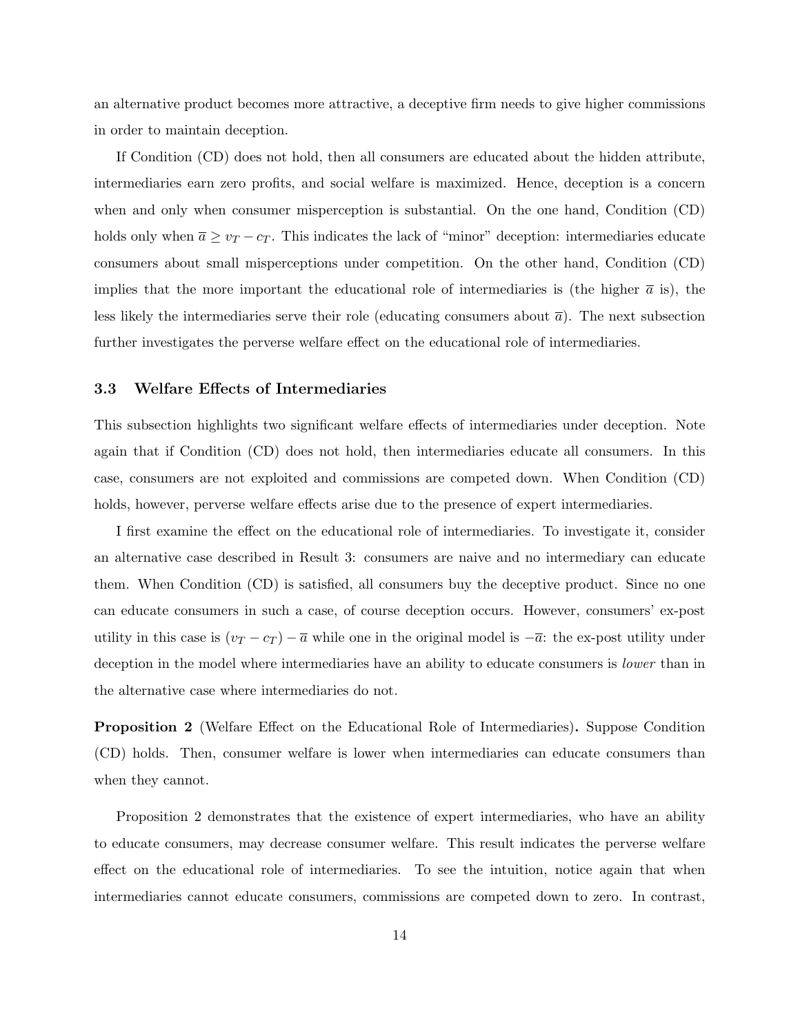an alternative product becomes more attractive, a deceptive firm needs to give higher commissions in order to maintain deception.

If Condition (CD) does not hold, then all consumers are educated about the hidden attribute, intermediaries earn zero profits, and social welfare is maximized. Hence, deception is a concern when and only when consumer misperception is substantial. On the one hand, Condition (CD) holds only when  $\overline{a} \ge v_T - c_T$ . This indicates the lack of "minor" deception: intermediaries educate consumers about small misperceptions under competition. On the other hand, Condition (CD) implies that the more important the educational role of intermediaries is (the higher  $\bar{a}$  is), the less likely the intermediaries serve their role (educating consumers about  $\bar{a}$ ). The next subsection further investigates the perverse welfare effect on the educational role of intermediaries.

#### 3.3 Welfare Effects of Intermediaries

This subsection highlights two significant welfare effects of intermediaries under deception. Note again that if Condition (CD) does not hold, then intermediaries educate all consumers. In this case, consumers are not exploited and commissions are competed down. When Condition (CD) holds, however, perverse welfare effects arise due to the presence of expert intermediaries.

I first examine the effect on the educational role of intermediaries. To investigate it, consider an alternative case described in Result 3: consumers are naive and no intermediary can educate them. When Condition (CD) is satisfied, all consumers buy the deceptive product. Since no one can educate consumers in such a case, of course deception occurs. However, consumers' ex-post utility in this case is  $(v_T - c_T) - \overline{a}$  while one in the original model is  $-\overline{a}$ : the ex-post utility under deception in the model where intermediaries have an ability to educate consumers is *lower* than in the alternative case where intermediaries do not.

Proposition 2 (Welfare Effect on the Educational Role of Intermediaries). Suppose Condition (CD) holds. Then, consumer welfare is lower when intermediaries can educate consumers than when they cannot.

Proposition 2 demonstrates that the existence of expert intermediaries, who have an ability to educate consumers, may decrease consumer welfare. This result indicates the perverse welfare effect on the educational role of intermediaries. To see the intuition, notice again that when intermediaries cannot educate consumers, commissions are competed down to zero. In contrast,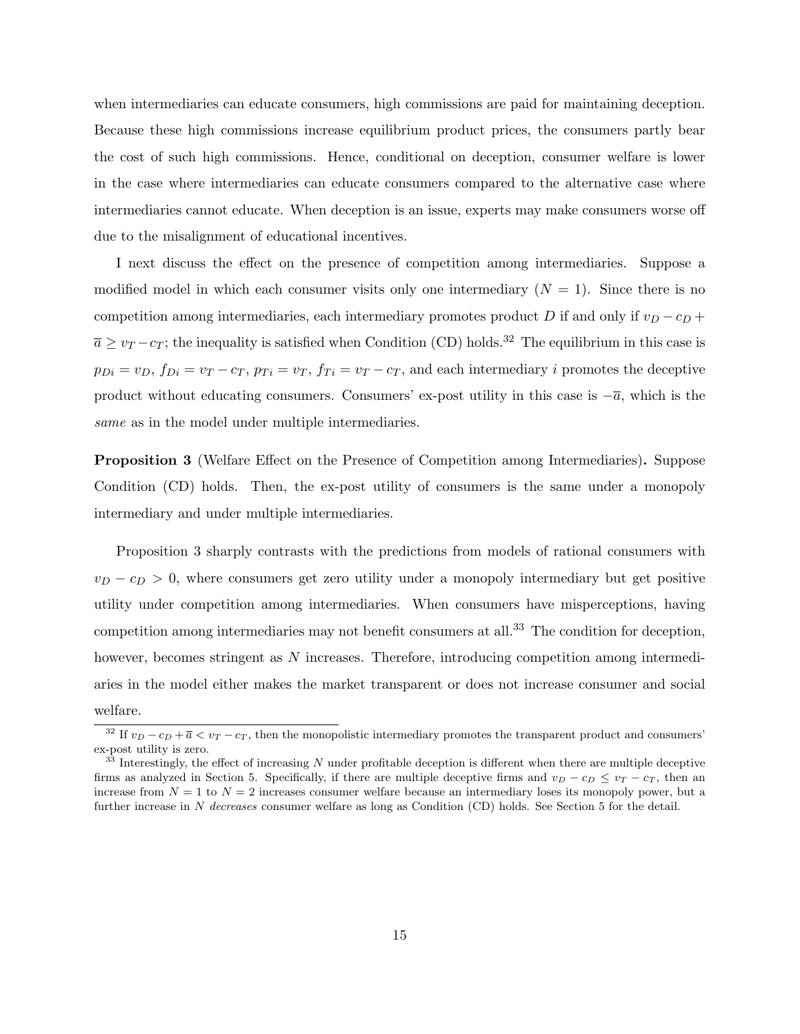when intermediaries can educate consumers, high commissions are paid for maintaining deception. Because these high commissions increase equilibrium product prices, the consumers partly bear the cost of such high commissions. Hence, conditional on deception, consumer welfare is lower in the case where intermediaries can educate consumers compared to the alternative case where intermediaries cannot educate. When deception is an issue, experts may make consumers worse off due to the misalignment of educational incentives.

I next discuss the effect on the presence of competition among intermediaries. Suppose a modified model in which each consumer visits only one intermediary  $(N = 1)$ . Since there is no competition among intermediaries, each intermediary promotes product D if and only if  $v_D - c_D +$  $\overline{a} \ge v_T - c_T$ ; the inequality is satisfied when Condition (CD) holds.<sup>32</sup> The equilibrium in this case is  $p_{Di} = v_D$ ,  $f_{Di} = v_T - c_T$ ,  $p_{Ti} = v_T$ ,  $f_{Ti} = v_T - c_T$ , and each intermediary *i* promotes the deceptive product without educating consumers. Consumers' ex-post utility in this case is  $-\overline{a}$ , which is the same as in the model under multiple intermediaries.

Proposition 3 (Welfare Effect on the Presence of Competition among Intermediaries). Suppose Condition (CD) holds. Then, the ex-post utility of consumers is the same under a monopoly intermediary and under multiple intermediaries.

Proposition 3 sharply contrasts with the predictions from models of rational consumers with  $v_D - c_D > 0$ , where consumers get zero utility under a monopoly intermediary but get positive utility under competition among intermediaries. When consumers have misperceptions, having competition among intermediaries may not benefit consumers at all.<sup>33</sup> The condition for deception. however, becomes stringent as N increases. Therefore, introducing competition among intermediaries in the model either makes the market transparent or does not increase consumer and social welfare.

<sup>&</sup>lt;sup>32</sup> If  $v_D - c_D + \overline{a} < v_T - c_T$ , then the monopolistic intermediary promotes the transparent product and consumers' ex-post utility is zero.

 $33$  Interestingly, the effect of increasing N under profitable deception is different when there are multiple deceptive firms as analyzed in Section 5. Specifically, if there are multiple deceptive firms and  $v_D - c_D \le v_T - c_T$ , then an increase from  $N = 1$  to  $N = 2$  increases consumer welfare because an intermediary loses its monopoly power, but a further increase in N decreases consumer welfare as long as Condition (CD) holds. See Section 5 for the detail.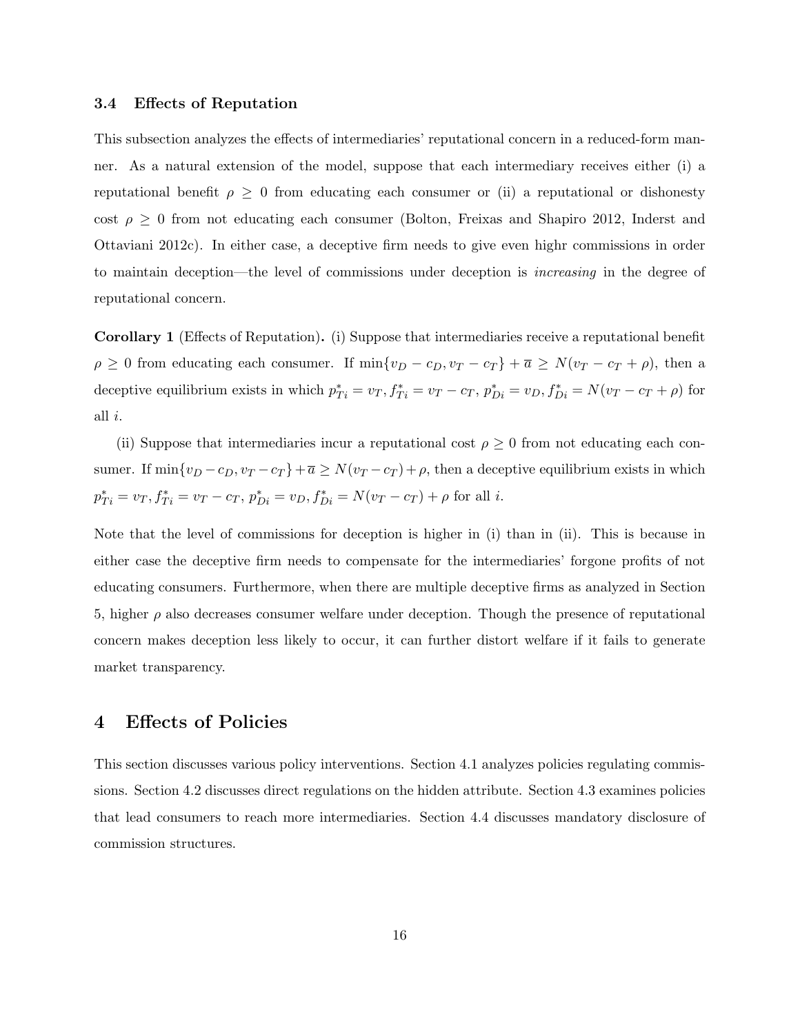#### 3.4 Effects of Reputation

This subsection analyzes the effects of intermediaries' reputational concern in a reduced-form manner. As a natural extension of the model, suppose that each intermediary receives either (i) a reputational benefit  $\rho \geq 0$  from educating each consumer or (ii) a reputational or dishonesty cost  $\rho \geq 0$  from not educating each consumer (Bolton, Freixas and Shapiro 2012, Inderst and Ottaviani 2012c). In either case, a deceptive firm needs to give even highr commissions in order to maintain deception—the level of commissions under deception is increasing in the degree of reputational concern.

Corollary 1 (Effects of Reputation). (i) Suppose that intermediaries receive a reputational benefit  $\rho \geq 0$  from educating each consumer. If  $\min\{v_D - c_D, v_T - c_T\} + \overline{a} \geq N(v_T - c_T + \rho)$ , then a deceptive equilibrium exists in which  $p_{Ti}^* = v_T, f_{Ti}^* = v_T - c_T, p_{Di}^* = v_D, f_{Di}^* = N(v_T - c_T + \rho)$  for all i.

(ii) Suppose that intermediaries incur a reputational cost  $\rho \geq 0$  from not educating each consumer. If  $\min\{v_D - c_D, v_T - c_T\} + \overline{a} \ge N(v_T - c_T) + \rho$ , then a deceptive equilibrium exists in which  $p_{Ti}^* = v_T, f_{Ti}^* = v_T - c_T, p_{Di}^* = v_D, f_{Di}^* = N(v_T - c_T) + \rho$  for all *i*.

Note that the level of commissions for deception is higher in (i) than in (ii). This is because in either case the deceptive firm needs to compensate for the intermediaries' forgone profits of not educating consumers. Furthermore, when there are multiple deceptive firms as analyzed in Section 5, higher  $\rho$  also decreases consumer welfare under deception. Though the presence of reputational concern makes deception less likely to occur, it can further distort welfare if it fails to generate market transparency.

### 4 Effects of Policies

This section discusses various policy interventions. Section 4.1 analyzes policies regulating commissions. Section 4.2 discusses direct regulations on the hidden attribute. Section 4.3 examines policies that lead consumers to reach more intermediaries. Section 4.4 discusses mandatory disclosure of commission structures.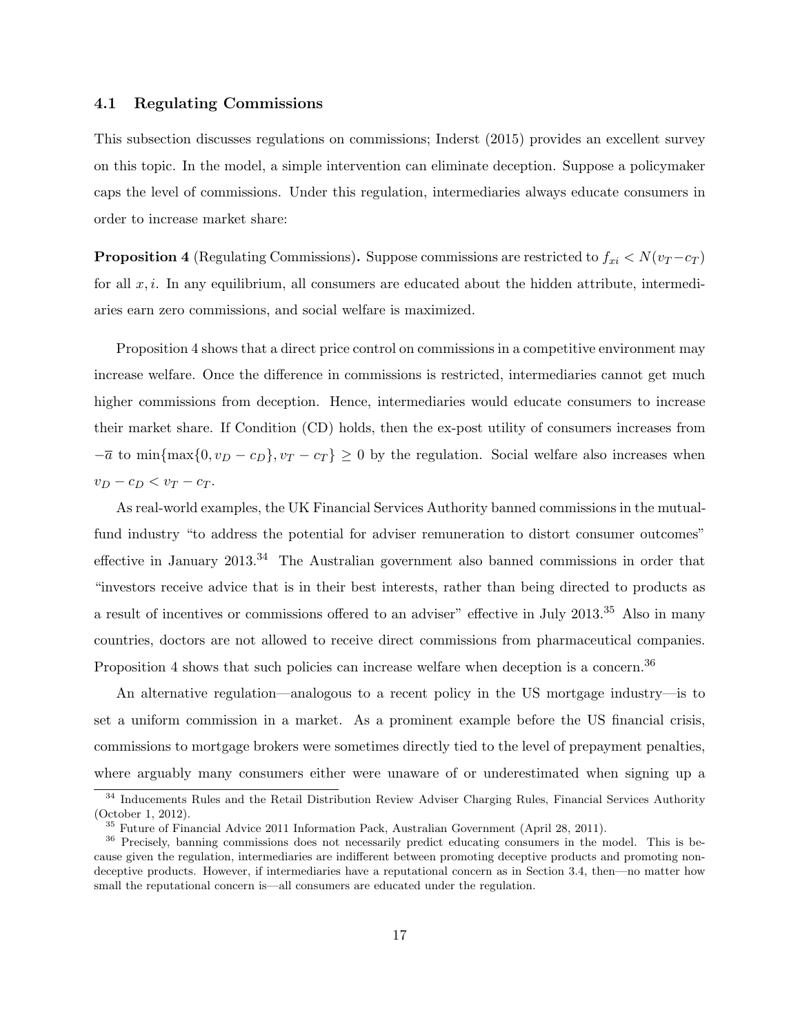#### 4.1 Regulating Commissions

This subsection discusses regulations on commissions; Inderst (2015) provides an excellent survey on this topic. In the model, a simple intervention can eliminate deception. Suppose a policymaker caps the level of commissions. Under this regulation, intermediaries always educate consumers in order to increase market share:

**Proposition 4** (Regulating Commissions). Suppose commissions are restricted to  $f_{xi} < N(v_T - c_T)$ for all  $x, i$ . In any equilibrium, all consumers are educated about the hidden attribute, intermediaries earn zero commissions, and social welfare is maximized.

Proposition 4 shows that a direct price control on commissions in a competitive environment may increase welfare. Once the difference in commissions is restricted, intermediaries cannot get much higher commissions from deception. Hence, intermediaries would educate consumers to increase their market share. If Condition (CD) holds, then the ex-post utility of consumers increases from  $-\overline{a}$  to min{max{0,  $v_D - c_D$ },  $v_T - c_T$ } ≥ 0 by the regulation. Social welfare also increases when  $v_D - c_D < v_T - c_T$ .

As real-world examples, the UK Financial Services Authority banned commissions in the mutualfund industry "to address the potential for adviser remuneration to distort consumer outcomes" effective in January  $2013^{34}$  The Australian government also banned commissions in order that "investors receive advice that is in their best interests, rather than being directed to products as a result of incentives or commissions offered to an adviser" effective in July 2013.<sup>35</sup> Also in many countries, doctors are not allowed to receive direct commissions from pharmaceutical companies. Proposition 4 shows that such policies can increase welfare when deception is a concern.<sup>36</sup>

An alternative regulation—analogous to a recent policy in the US mortgage industry—is to set a uniform commission in a market. As a prominent example before the US financial crisis, commissions to mortgage brokers were sometimes directly tied to the level of prepayment penalties, where arguably many consumers either were unaware of or underestimated when signing up a

<sup>&</sup>lt;sup>34</sup> Inducements Rules and the Retail Distribution Review Adviser Charging Rules, Financial Services Authority (October 1, 2012).

<sup>35</sup> Future of Financial Advice 2011 Information Pack, Australian Government (April 28, 2011).

<sup>&</sup>lt;sup>36</sup> Precisely, banning commissions does not necessarily predict educating consumers in the model. This is because given the regulation, intermediaries are indifferent between promoting deceptive products and promoting nondeceptive products. However, if intermediaries have a reputational concern as in Section 3.4, then—no matter how small the reputational concern is—all consumers are educated under the regulation.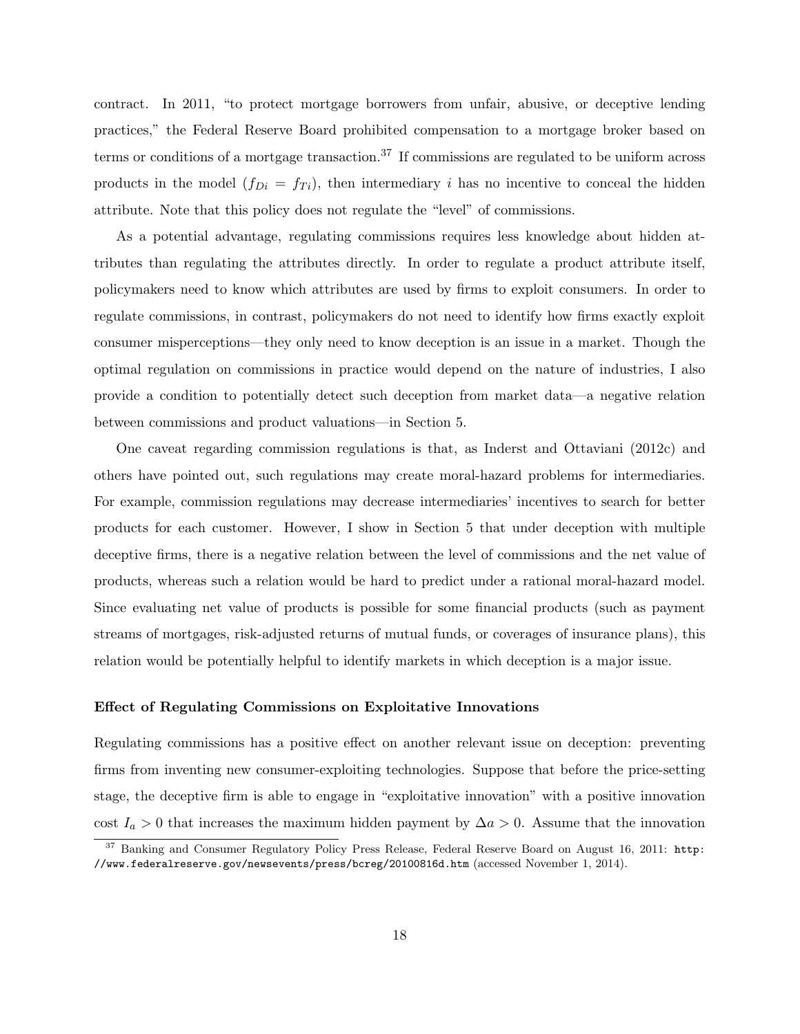contract. In 2011, "to protect mortgage borrowers from unfair, abusive, or deceptive lending practices," the Federal Reserve Board prohibited compensation to a mortgage broker based on terms or conditions of a mortgage transaction.<sup>37</sup> If commissions are regulated to be uniform across products in the model  $(f_{Di} = f_{Ti})$ , then intermediary i has no incentive to conceal the hidden attribute. Note that this policy does not regulate the "level" of commissions.

As a potential advantage, regulating commissions requires less knowledge about hidden attributes than regulating the attributes directly. In order to regulate a product attribute itself, policymakers need to know which attributes are used by firms to exploit consumers. In order to regulate commissions, in contrast, policymakers do not need to identify how firms exactly exploit consumer misperceptions—they only need to know deception is an issue in a market. Though the optimal regulation on commissions in practice would depend on the nature of industries, I also provide a condition to potentially detect such deception from market data—a negative relation between commissions and product valuations—in Section 5.

One caveat regarding commission regulations is that, as Inderst and Ottaviani (2012c) and others have pointed out, such regulations may create moral-hazard problems for intermediaries. For example, commission regulations may decrease intermediaries' incentives to search for better products for each customer. However, I show in Section 5 that under deception with multiple deceptive firms, there is a negative relation between the level of commissions and the net value of products, whereas such a relation would be hard to predict under a rational moral-hazard model. Since evaluating net value of products is possible for some financial products (such as payment streams of mortgages, risk-adjusted returns of mutual funds, or coverages of insurance plans), this relation would be potentially helpful to identify markets in which deception is a major issue.

#### Effect of Regulating Commissions on Exploitative Innovations

Regulating commissions has a positive effect on another relevant issue on deception: preventing firms from inventing new consumer-exploiting technologies. Suppose that before the price-setting stage, the deceptive firm is able to engage in "exploitative innovation" with a positive innovation cost  $I_a > 0$  that increases the maximum hidden payment by  $\Delta a > 0$ . Assume that the innovation

<sup>&</sup>lt;sup>37</sup> Banking and Consumer Regulatory Policy Press Release, Federal Reserve Board on August 16, 2011: http: //www.federalreserve.gov/newsevents/press/bcreg/20100816d.htm (accessed November 1, 2014).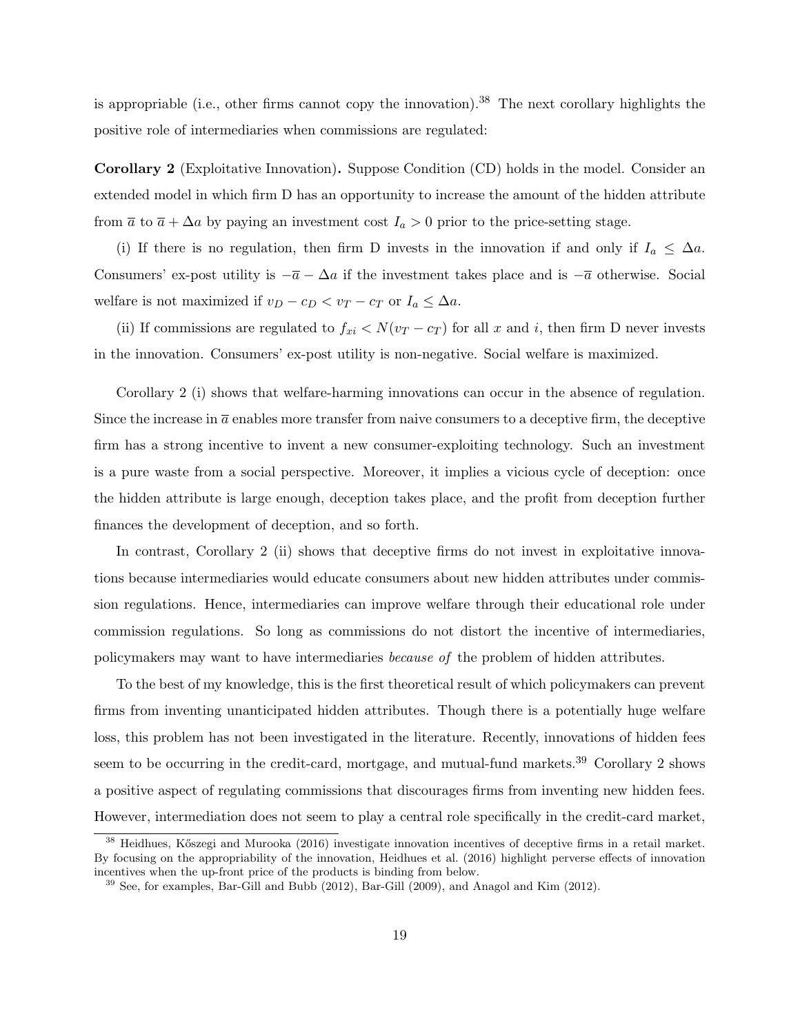is appropriable (i.e., other firms cannot copy the innovation).<sup>38</sup> The next corollary highlights the positive role of intermediaries when commissions are regulated:

Corollary 2 (Exploitative Innovation). Suppose Condition (CD) holds in the model. Consider an extended model in which firm D has an opportunity to increase the amount of the hidden attribute from  $\bar{a}$  to  $\bar{a} + \Delta a$  by paying an investment cost  $I_a > 0$  prior to the price-setting stage.

(i) If there is no regulation, then firm D invests in the innovation if and only if  $I_a \leq \Delta a$ . Consumers' ex-post utility is  $-\bar{a} - \Delta a$  if the investment takes place and is  $-\bar{a}$  otherwise. Social welfare is not maximized if  $v_D - c_D < v_T - c_T$  or  $I_a \leq \Delta a$ .

(ii) If commissions are regulated to  $f_{xi} < N(v_T - c_T)$  for all x and i, then firm D never invests in the innovation. Consumers' ex-post utility is non-negative. Social welfare is maximized.

Corollary 2 (i) shows that welfare-harming innovations can occur in the absence of regulation. Since the increase in  $\bar{a}$  enables more transfer from naive consumers to a deceptive firm, the deceptive firm has a strong incentive to invent a new consumer-exploiting technology. Such an investment is a pure waste from a social perspective. Moreover, it implies a vicious cycle of deception: once the hidden attribute is large enough, deception takes place, and the profit from deception further finances the development of deception, and so forth.

In contrast, Corollary 2 (ii) shows that deceptive firms do not invest in exploitative innovations because intermediaries would educate consumers about new hidden attributes under commission regulations. Hence, intermediaries can improve welfare through their educational role under commission regulations. So long as commissions do not distort the incentive of intermediaries, policymakers may want to have intermediaries because of the problem of hidden attributes.

To the best of my knowledge, this is the first theoretical result of which policymakers can prevent firms from inventing unanticipated hidden attributes. Though there is a potentially huge welfare loss, this problem has not been investigated in the literature. Recently, innovations of hidden fees seem to be occurring in the credit-card, mortgage, and mutual-fund markets.<sup>39</sup> Corollary 2 shows a positive aspect of regulating commissions that discourages firms from inventing new hidden fees. However, intermediation does not seem to play a central role specifically in the credit-card market,

 $38$  Heidhues, Kőszegi and Murooka (2016) investigate innovation incentives of deceptive firms in a retail market. By focusing on the appropriability of the innovation, Heidhues et al. (2016) highlight perverse effects of innovation incentives when the up-front price of the products is binding from below.

<sup>&</sup>lt;sup>39</sup> See, for examples, Bar-Gill and Bubb (2012), Bar-Gill (2009), and Anagol and Kim (2012).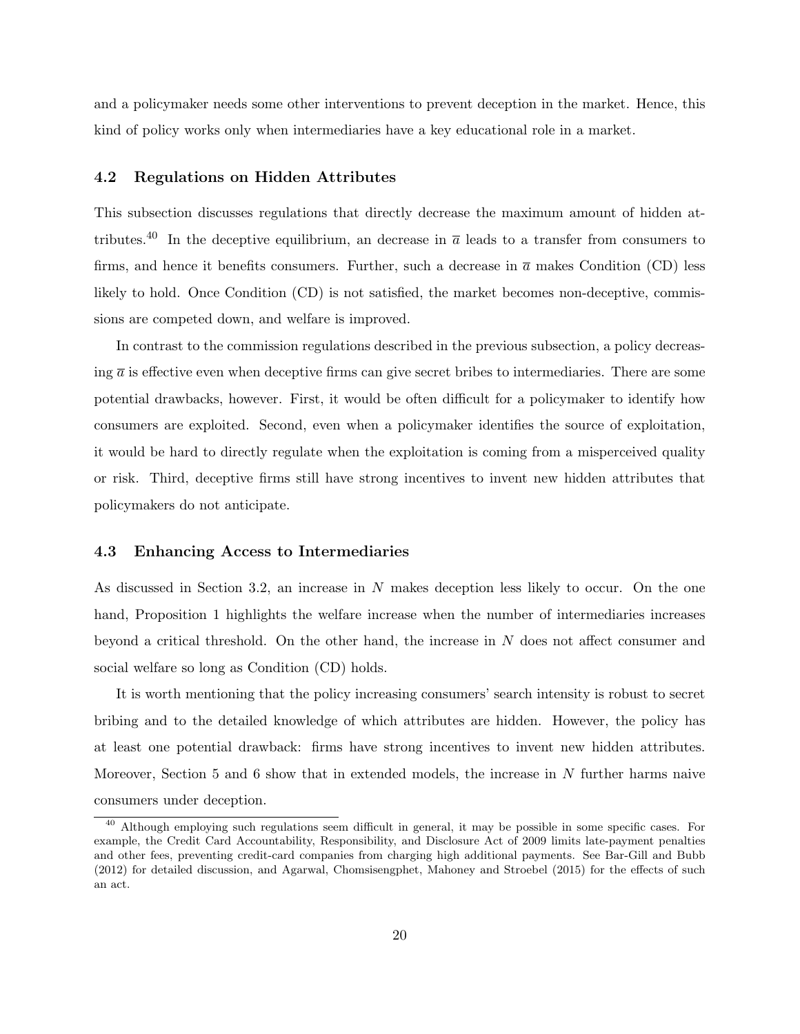and a policymaker needs some other interventions to prevent deception in the market. Hence, this kind of policy works only when intermediaries have a key educational role in a market.

#### 4.2 Regulations on Hidden Attributes

This subsection discusses regulations that directly decrease the maximum amount of hidden attributes.<sup>40</sup> In the deceptive equilibrium, an decrease in  $\bar{a}$  leads to a transfer from consumers to firms, and hence it benefits consumers. Further, such a decrease in  $\bar{a}$  makes Condition (CD) less likely to hold. Once Condition (CD) is not satisfied, the market becomes non-deceptive, commissions are competed down, and welfare is improved.

In contrast to the commission regulations described in the previous subsection, a policy decreasing  $\bar{a}$  is effective even when deceptive firms can give secret bribes to intermediaries. There are some potential drawbacks, however. First, it would be often difficult for a policymaker to identify how consumers are exploited. Second, even when a policymaker identifies the source of exploitation, it would be hard to directly regulate when the exploitation is coming from a misperceived quality or risk. Third, deceptive firms still have strong incentives to invent new hidden attributes that policymakers do not anticipate.

#### 4.3 Enhancing Access to Intermediaries

As discussed in Section 3.2, an increase in N makes deception less likely to occur. On the one hand, Proposition 1 highlights the welfare increase when the number of intermediaries increases beyond a critical threshold. On the other hand, the increase in N does not affect consumer and social welfare so long as Condition (CD) holds.

It is worth mentioning that the policy increasing consumers' search intensity is robust to secret bribing and to the detailed knowledge of which attributes are hidden. However, the policy has at least one potential drawback: firms have strong incentives to invent new hidden attributes. Moreover, Section 5 and 6 show that in extended models, the increase in N further harms naive consumers under deception.

<sup>&</sup>lt;sup>40</sup> Although employing such regulations seem difficult in general, it may be possible in some specific cases. For example, the Credit Card Accountability, Responsibility, and Disclosure Act of 2009 limits late-payment penalties and other fees, preventing credit-card companies from charging high additional payments. See Bar-Gill and Bubb (2012) for detailed discussion, and Agarwal, Chomsisengphet, Mahoney and Stroebel (2015) for the effects of such an act.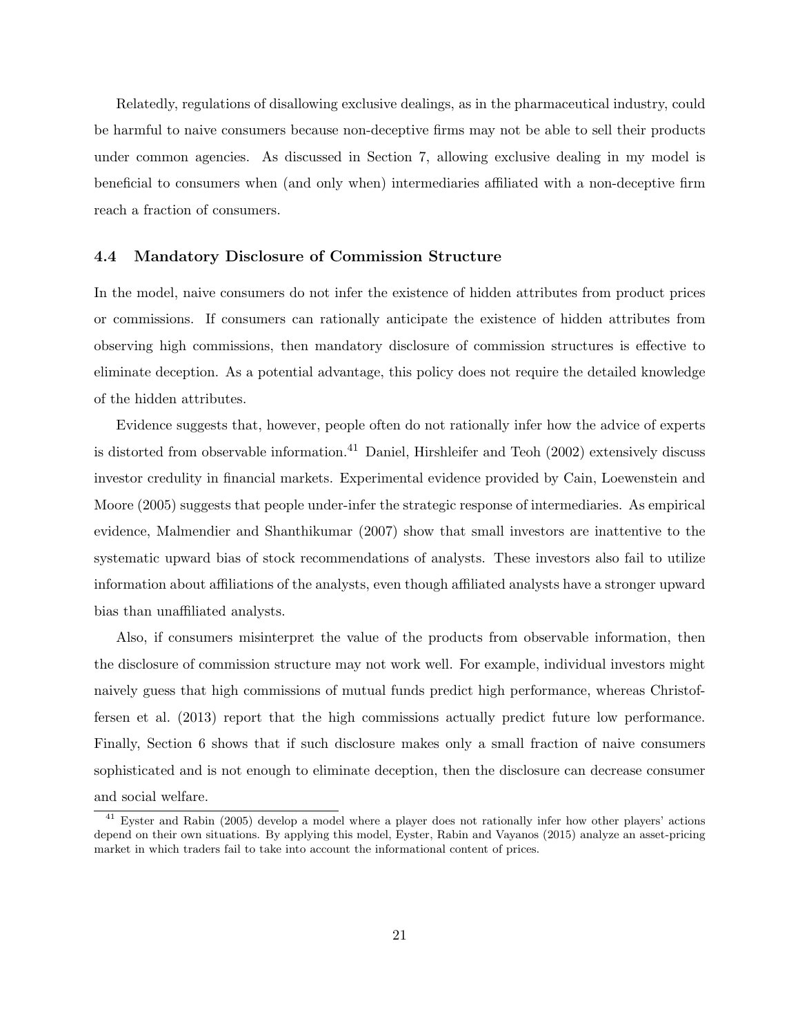Relatedly, regulations of disallowing exclusive dealings, as in the pharmaceutical industry, could be harmful to naive consumers because non-deceptive firms may not be able to sell their products under common agencies. As discussed in Section 7, allowing exclusive dealing in my model is beneficial to consumers when (and only when) intermediaries affiliated with a non-deceptive firm reach a fraction of consumers.

#### 4.4 Mandatory Disclosure of Commission Structure

In the model, naive consumers do not infer the existence of hidden attributes from product prices or commissions. If consumers can rationally anticipate the existence of hidden attributes from observing high commissions, then mandatory disclosure of commission structures is effective to eliminate deception. As a potential advantage, this policy does not require the detailed knowledge of the hidden attributes.

Evidence suggests that, however, people often do not rationally infer how the advice of experts is distorted from observable information.<sup>41</sup> Daniel, Hirshleifer and Teoh (2002) extensively discuss investor credulity in financial markets. Experimental evidence provided by Cain, Loewenstein and Moore (2005) suggests that people under-infer the strategic response of intermediaries. As empirical evidence, Malmendier and Shanthikumar (2007) show that small investors are inattentive to the systematic upward bias of stock recommendations of analysts. These investors also fail to utilize information about affiliations of the analysts, even though affiliated analysts have a stronger upward bias than unaffiliated analysts.

Also, if consumers misinterpret the value of the products from observable information, then the disclosure of commission structure may not work well. For example, individual investors might naively guess that high commissions of mutual funds predict high performance, whereas Christoffersen et al. (2013) report that the high commissions actually predict future low performance. Finally, Section 6 shows that if such disclosure makes only a small fraction of naive consumers sophisticated and is not enough to eliminate deception, then the disclosure can decrease consumer and social welfare.

<sup>41</sup> Eyster and Rabin (2005) develop a model where a player does not rationally infer how other players' actions depend on their own situations. By applying this model, Eyster, Rabin and Vayanos (2015) analyze an asset-pricing market in which traders fail to take into account the informational content of prices.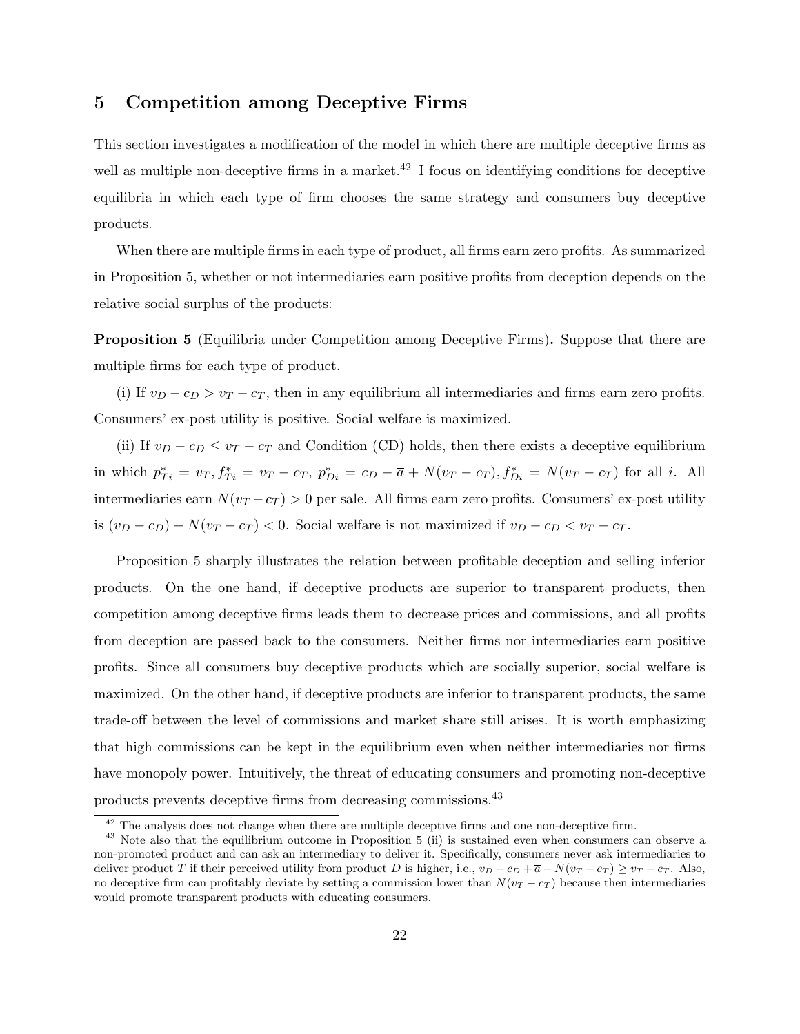## 5 Competition among Deceptive Firms

This section investigates a modification of the model in which there are multiple deceptive firms as well as multiple non-deceptive firms in a market.<sup>42</sup> I focus on identifying conditions for deceptive equilibria in which each type of firm chooses the same strategy and consumers buy deceptive products.

When there are multiple firms in each type of product, all firms earn zero profits. As summarized in Proposition 5, whether or not intermediaries earn positive profits from deception depends on the relative social surplus of the products:

Proposition 5 (Equilibria under Competition among Deceptive Firms). Suppose that there are multiple firms for each type of product.

(i) If  $v_D - c_D > v_T - c_T$ , then in any equilibrium all intermediaries and firms earn zero profits. Consumers' ex-post utility is positive. Social welfare is maximized.

(ii) If  $v_D - c_D \le v_T - c_T$  and Condition (CD) holds, then there exists a deceptive equilibrium in which  $p_{Ti}^* = v_T, f_{Ti}^* = v_T - c_T, p_{Di}^* = c_D - \overline{a} + N(v_T - c_T), f_{Di}^* = N(v_T - c_T)$  for all *i*. All intermediaries earn  $N(v_T - c_T) > 0$  per sale. All firms earn zero profits. Consumers' ex-post utility is  $(v_D - c_D) - N(v_T - c_T) < 0$ . Social welfare is not maximized if  $v_D - c_D < v_T - c_T$ .

Proposition 5 sharply illustrates the relation between profitable deception and selling inferior products. On the one hand, if deceptive products are superior to transparent products, then competition among deceptive firms leads them to decrease prices and commissions, and all profits from deception are passed back to the consumers. Neither firms nor intermediaries earn positive profits. Since all consumers buy deceptive products which are socially superior, social welfare is maximized. On the other hand, if deceptive products are inferior to transparent products, the same trade-off between the level of commissions and market share still arises. It is worth emphasizing that high commissions can be kept in the equilibrium even when neither intermediaries nor firms have monopoly power. Intuitively, the threat of educating consumers and promoting non-deceptive products prevents deceptive firms from decreasing commissions.<sup>43</sup>

 $42$  The analysis does not change when there are multiple deceptive firms and one non-deceptive firm.

<sup>&</sup>lt;sup>43</sup> Note also that the equilibrium outcome in Proposition 5 (ii) is sustained even when consumers can observe a non-promoted product and can ask an intermediary to deliver it. Specifically, consumers never ask intermediaries to deliver product T if their perceived utility from product D is higher, i.e.,  $v_D - c_D + \overline{a} - N(v_T - c_T) \ge v_T - c_T$ . Also, no deceptive firm can profitably deviate by setting a commission lower than  $N(v_T - c_T)$  because then intermediaries would promote transparent products with educating consumers.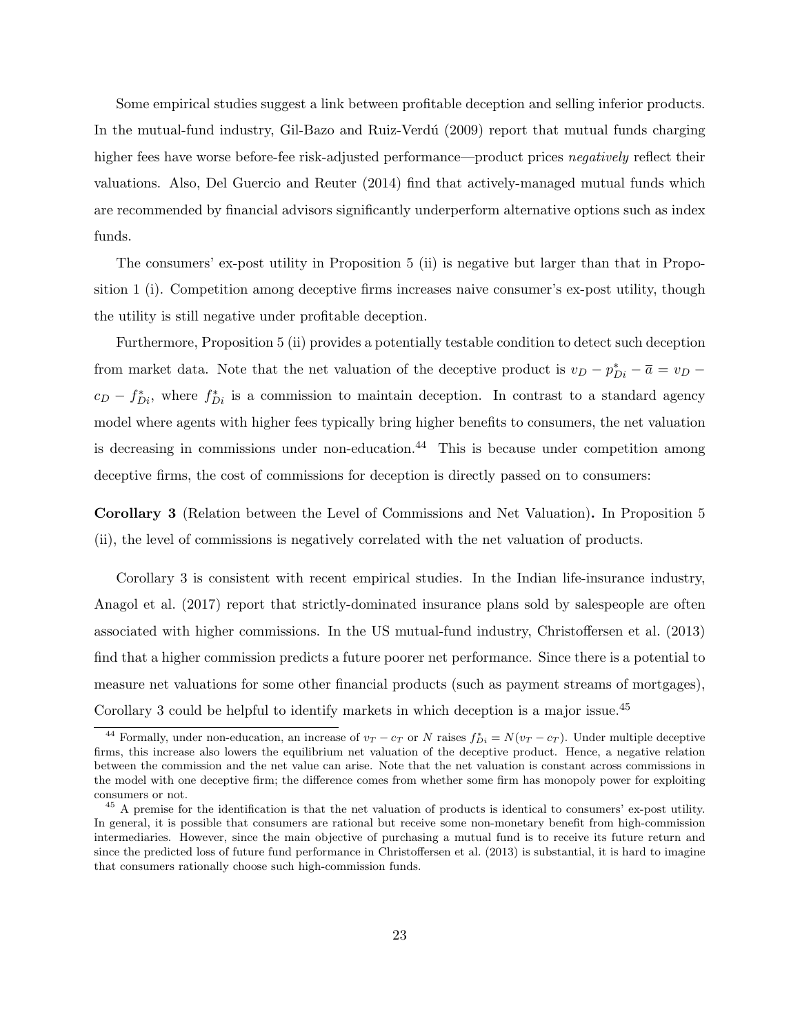Some empirical studies suggest a link between profitable deception and selling inferior products. In the mutual-fund industry, Gil-Bazo and Ruiz-Verdú (2009) report that mutual funds charging higher fees have worse before-fee risk-adjusted performance—product prices negatively reflect their valuations. Also, Del Guercio and Reuter (2014) find that actively-managed mutual funds which are recommended by financial advisors significantly underperform alternative options such as index funds.

The consumers' ex-post utility in Proposition 5 (ii) is negative but larger than that in Proposition 1 (i). Competition among deceptive firms increases naive consumer's ex-post utility, though the utility is still negative under profitable deception.

Furthermore, Proposition 5 (ii) provides a potentially testable condition to detect such deception from market data. Note that the net valuation of the deceptive product is  $v_D - p_{Di}^* - \overline{a} = v_D - \overline{a}$  $c_D - f_{Di}^*$ , where  $f_{Di}^*$  is a commission to maintain deception. In contrast to a standard agency model where agents with higher fees typically bring higher benefits to consumers, the net valuation is decreasing in commissions under non-education.<sup>44</sup> This is because under competition among deceptive firms, the cost of commissions for deception is directly passed on to consumers:

Corollary 3 (Relation between the Level of Commissions and Net Valuation). In Proposition 5 (ii), the level of commissions is negatively correlated with the net valuation of products.

Corollary 3 is consistent with recent empirical studies. In the Indian life-insurance industry, Anagol et al. (2017) report that strictly-dominated insurance plans sold by salespeople are often associated with higher commissions. In the US mutual-fund industry, Christoffersen et al. (2013) find that a higher commission predicts a future poorer net performance. Since there is a potential to measure net valuations for some other financial products (such as payment streams of mortgages), Corollary 3 could be helpful to identify markets in which deception is a major issue.<sup>45</sup>

<sup>&</sup>lt;sup>44</sup> Formally, under non-education, an increase of  $v_T - c_T$  or N raises  $f_{Di}^* = N(v_T - c_T)$ . Under multiple deceptive firms, this increase also lowers the equilibrium net valuation of the deceptive product. Hence, a negative relation between the commission and the net value can arise. Note that the net valuation is constant across commissions in the model with one deceptive firm; the difference comes from whether some firm has monopoly power for exploiting consumers or not.

<sup>&</sup>lt;sup>45</sup> A premise for the identification is that the net valuation of products is identical to consumers' ex-post utility. In general, it is possible that consumers are rational but receive some non-monetary benefit from high-commission intermediaries. However, since the main objective of purchasing a mutual fund is to receive its future return and since the predicted loss of future fund performance in Christoffersen et al. (2013) is substantial, it is hard to imagine that consumers rationally choose such high-commission funds.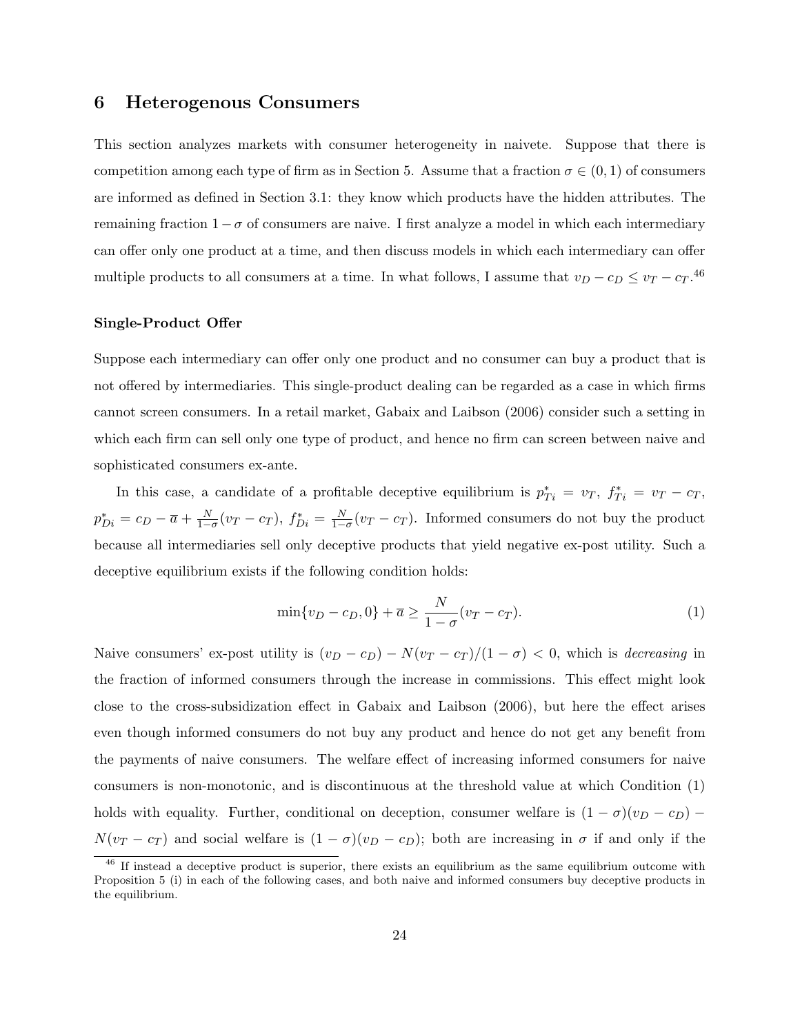### 6 Heterogenous Consumers

This section analyzes markets with consumer heterogeneity in naivete. Suppose that there is competition among each type of firm as in Section 5. Assume that a fraction  $\sigma \in (0,1)$  of consumers are informed as defined in Section 3.1: they know which products have the hidden attributes. The remaining fraction  $1-\sigma$  of consumers are naive. I first analyze a model in which each intermediary can offer only one product at a time, and then discuss models in which each intermediary can offer multiple products to all consumers at a time. In what follows, I assume that  $v_D - c_D \le v_T - c_T$ .<sup>46</sup>

#### Single-Product Offer

Suppose each intermediary can offer only one product and no consumer can buy a product that is not offered by intermediaries. This single-product dealing can be regarded as a case in which firms cannot screen consumers. In a retail market, Gabaix and Laibson (2006) consider such a setting in which each firm can sell only one type of product, and hence no firm can screen between naive and sophisticated consumers ex-ante.

In this case, a candidate of a profitable deceptive equilibrium is  $p_{Ti}^* = v_T$ ,  $f_{Ti}^* = v_T - c_T$ ,  $p_{Di}^* = c_D - \overline{a} + \frac{N}{1-\sigma}(v_T - c_T), f_{Di}^* = \frac{N}{1-\sigma}(v_T - c_T)$ . Informed consumers do not buy the product because all intermediaries sell only deceptive products that yield negative ex-post utility. Such a deceptive equilibrium exists if the following condition holds:

$$
\min\{v_D - c_D, 0\} + \overline{a} \ge \frac{N}{1 - \sigma}(v_T - c_T). \tag{1}
$$

Naive consumers' ex-post utility is  $(v_D - c_D) - N(v_T - c_T)/(1 - \sigma) < 0$ , which is *decreasing* in the fraction of informed consumers through the increase in commissions. This effect might look close to the cross-subsidization effect in Gabaix and Laibson (2006), but here the effect arises even though informed consumers do not buy any product and hence do not get any benefit from the payments of naive consumers. The welfare effect of increasing informed consumers for naive consumers is non-monotonic, and is discontinuous at the threshold value at which Condition (1) holds with equality. Further, conditional on deception, consumer welfare is  $(1 - \sigma)(v_D - c_D)$  –  $N(v_T - c_T)$  and social welfare is  $(1 - \sigma)(v_D - c_D)$ ; both are increasing in  $\sigma$  if and only if the

<sup>&</sup>lt;sup>46</sup> If instead a deceptive product is superior, there exists an equilibrium as the same equilibrium outcome with Proposition 5 (i) in each of the following cases, and both naive and informed consumers buy deceptive products in the equilibrium.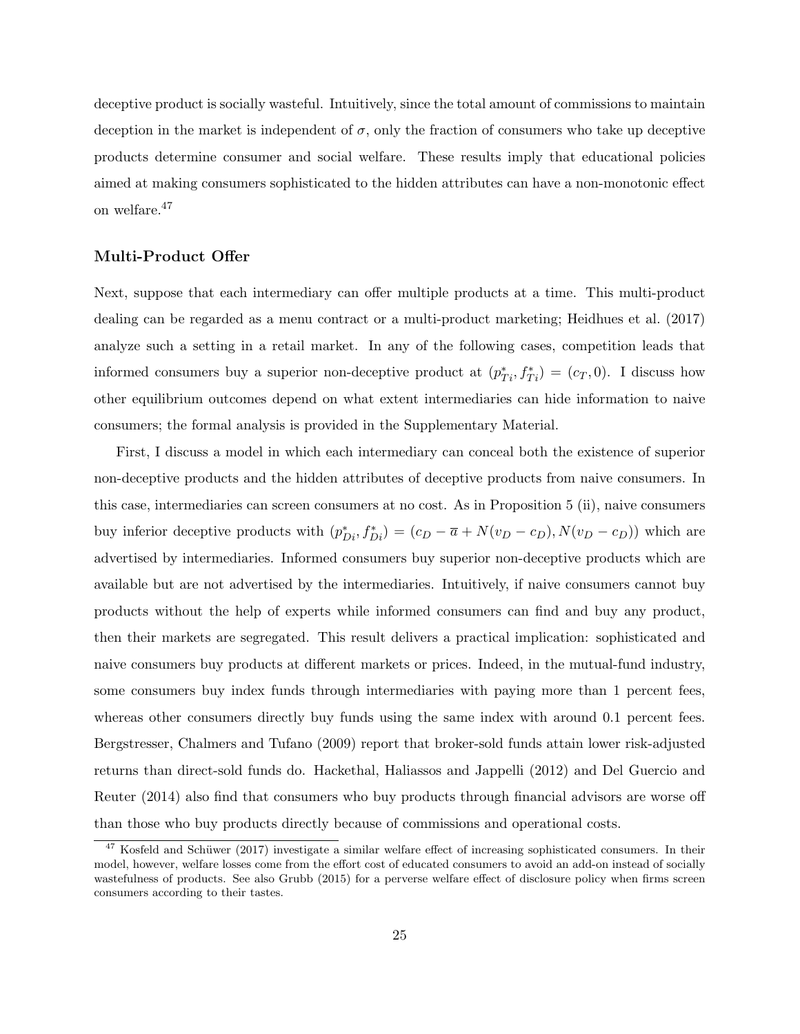deceptive product is socially wasteful. Intuitively, since the total amount of commissions to maintain deception in the market is independent of  $\sigma$ , only the fraction of consumers who take up deceptive products determine consumer and social welfare. These results imply that educational policies aimed at making consumers sophisticated to the hidden attributes can have a non-monotonic effect on welfare.<sup>47</sup>

#### Multi-Product Offer

Next, suppose that each intermediary can offer multiple products at a time. This multi-product dealing can be regarded as a menu contract or a multi-product marketing; Heidhues et al. (2017) analyze such a setting in a retail market. In any of the following cases, competition leads that informed consumers buy a superior non-deceptive product at  $(p_{Ti}^*, f_{Ti}^*) = (c_T, 0)$ . I discuss how other equilibrium outcomes depend on what extent intermediaries can hide information to naive consumers; the formal analysis is provided in the Supplementary Material.

First, I discuss a model in which each intermediary can conceal both the existence of superior non-deceptive products and the hidden attributes of deceptive products from naive consumers. In this case, intermediaries can screen consumers at no cost. As in Proposition 5 (ii), naive consumers buy inferior deceptive products with  $(p_{Di}^*, f_{Di}^*) = (c_D - \overline{a} + N(v_D - c_D), N(v_D - c_D))$  which are advertised by intermediaries. Informed consumers buy superior non-deceptive products which are available but are not advertised by the intermediaries. Intuitively, if naive consumers cannot buy products without the help of experts while informed consumers can find and buy any product, then their markets are segregated. This result delivers a practical implication: sophisticated and naive consumers buy products at different markets or prices. Indeed, in the mutual-fund industry, some consumers buy index funds through intermediaries with paying more than 1 percent fees, whereas other consumers directly buy funds using the same index with around 0.1 percent fees. Bergstresser, Chalmers and Tufano (2009) report that broker-sold funds attain lower risk-adjusted returns than direct-sold funds do. Hackethal, Haliassos and Jappelli (2012) and Del Guercio and Reuter (2014) also find that consumers who buy products through financial advisors are worse off than those who buy products directly because of commissions and operational costs.

 $47$  Kosfeld and Schüwer (2017) investigate a similar welfare effect of increasing sophisticated consumers. In their model, however, welfare losses come from the effort cost of educated consumers to avoid an add-on instead of socially wastefulness of products. See also Grubb (2015) for a perverse welfare effect of disclosure policy when firms screen consumers according to their tastes.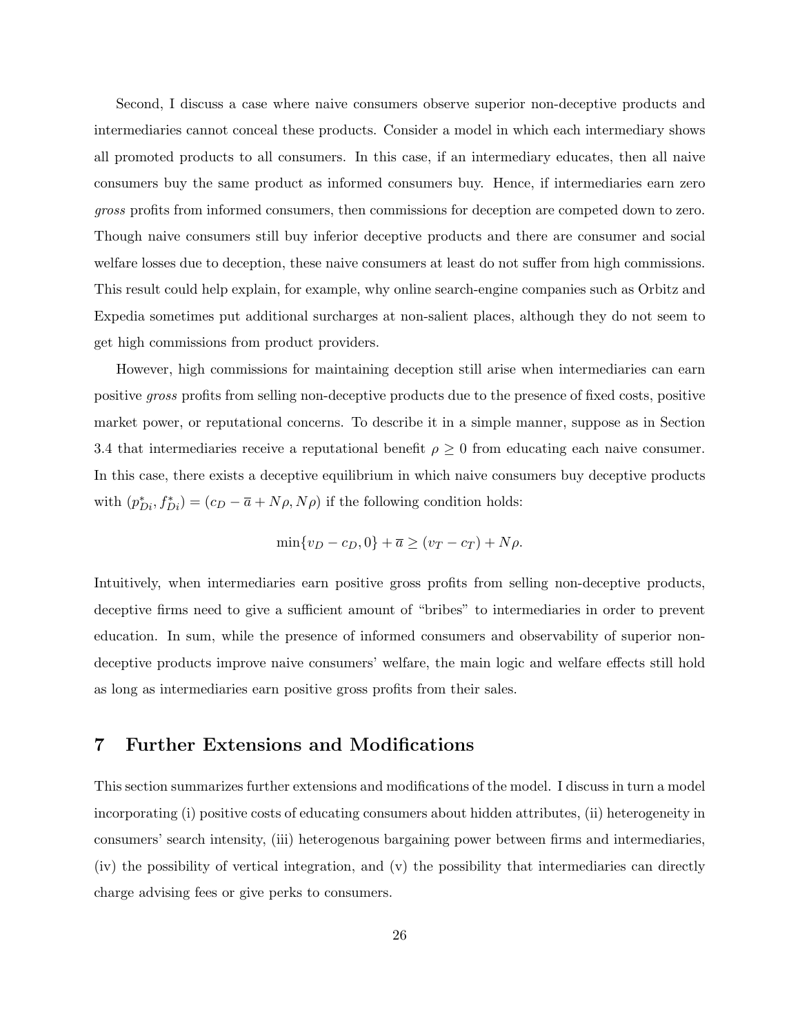Second, I discuss a case where naive consumers observe superior non-deceptive products and intermediaries cannot conceal these products. Consider a model in which each intermediary shows all promoted products to all consumers. In this case, if an intermediary educates, then all naive consumers buy the same product as informed consumers buy. Hence, if intermediaries earn zero gross profits from informed consumers, then commissions for deception are competed down to zero. Though naive consumers still buy inferior deceptive products and there are consumer and social welfare losses due to deception, these naive consumers at least do not suffer from high commissions. This result could help explain, for example, why online search-engine companies such as Orbitz and Expedia sometimes put additional surcharges at non-salient places, although they do not seem to get high commissions from product providers.

However, high commissions for maintaining deception still arise when intermediaries can earn positive gross profits from selling non-deceptive products due to the presence of fixed costs, positive market power, or reputational concerns. To describe it in a simple manner, suppose as in Section 3.4 that intermediaries receive a reputational benefit  $\rho \geq 0$  from educating each naive consumer. In this case, there exists a deceptive equilibrium in which naive consumers buy deceptive products with  $(p_{Di}^*, f_{Di}^*) = (c_D - \overline{a} + N\rho, N\rho)$  if the following condition holds:

$$
\min\{v_D - c_D, 0\} + \overline{a} \ge (v_T - c_T) + N\rho.
$$

Intuitively, when intermediaries earn positive gross profits from selling non-deceptive products, deceptive firms need to give a sufficient amount of "bribes" to intermediaries in order to prevent education. In sum, while the presence of informed consumers and observability of superior nondeceptive products improve naive consumers' welfare, the main logic and welfare effects still hold as long as intermediaries earn positive gross profits from their sales.

### 7 Further Extensions and Modifications

This section summarizes further extensions and modifications of the model. I discuss in turn a model incorporating (i) positive costs of educating consumers about hidden attributes, (ii) heterogeneity in consumers' search intensity, (iii) heterogenous bargaining power between firms and intermediaries, (iv) the possibility of vertical integration, and (v) the possibility that intermediaries can directly charge advising fees or give perks to consumers.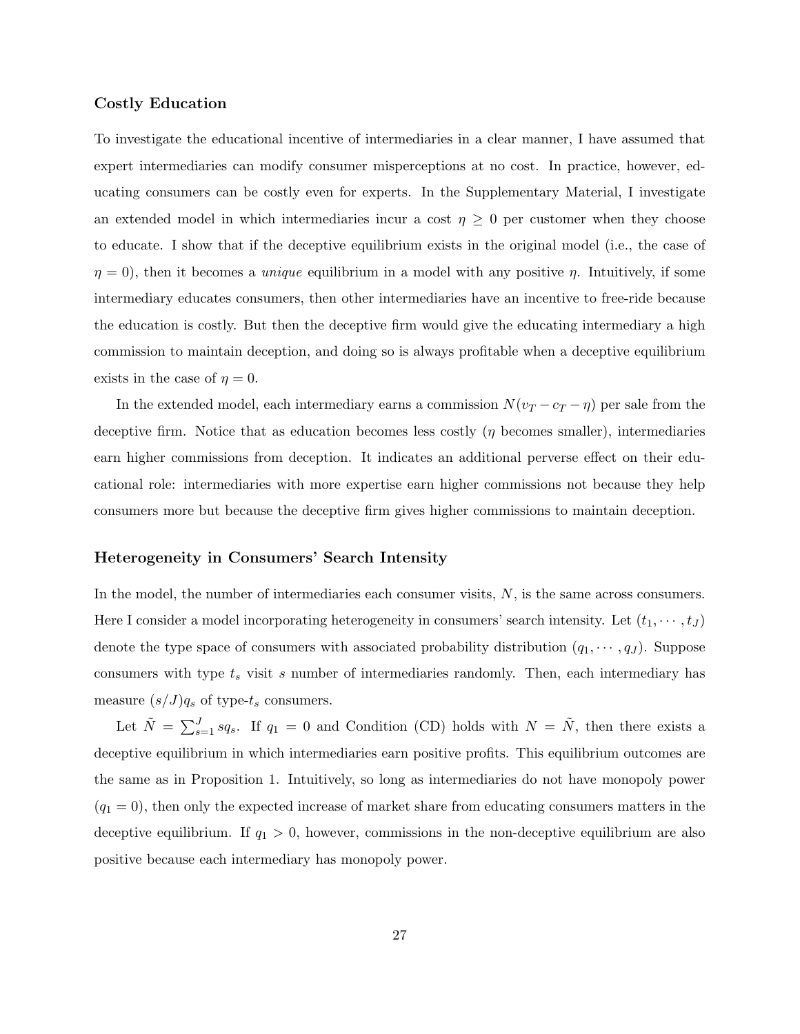#### Costly Education

To investigate the educational incentive of intermediaries in a clear manner, I have assumed that expert intermediaries can modify consumer misperceptions at no cost. In practice, however, educating consumers can be costly even for experts. In the Supplementary Material, I investigate an extended model in which intermediaries incur a cost  $\eta \geq 0$  per customer when they choose to educate. I show that if the deceptive equilibrium exists in the original model (i.e., the case of  $\eta = 0$ , then it becomes a *unique* equilibrium in a model with any positive  $\eta$ . Intuitively, if some intermediary educates consumers, then other intermediaries have an incentive to free-ride because the education is costly. But then the deceptive firm would give the educating intermediary a high commission to maintain deception, and doing so is always profitable when a deceptive equilibrium exists in the case of  $\eta = 0$ .

In the extended model, each intermediary earns a commission  $N(v_T - c_T - \eta)$  per sale from the deceptive firm. Notice that as education becomes less costly  $(\eta$  becomes smaller), intermediaries earn higher commissions from deception. It indicates an additional perverse effect on their educational role: intermediaries with more expertise earn higher commissions not because they help consumers more but because the deceptive firm gives higher commissions to maintain deception.

#### Heterogeneity in Consumers' Search Intensity

In the model, the number of intermediaries each consumer visits,  $N$ , is the same across consumers. Here I consider a model incorporating heterogeneity in consumers' search intensity. Let  $(t_1, \dots, t_J)$ denote the type space of consumers with associated probability distribution  $(q_1, \dots, q_J)$ . Suppose consumers with type  $t_s$  visit s number of intermediaries randomly. Then, each intermediary has measure  $(s/J)q_s$  of type- $t_s$  consumers.

Let  $\tilde{N} = \sum_{s=1}^{J} s q_s$ . If  $q_1 = 0$  and Condition (CD) holds with  $N = \tilde{N}$ , then there exists a deceptive equilibrium in which intermediaries earn positive profits. This equilibrium outcomes are the same as in Proposition 1. Intuitively, so long as intermediaries do not have monopoly power  $(q_1 = 0)$ , then only the expected increase of market share from educating consumers matters in the deceptive equilibrium. If  $q_1 > 0$ , however, commissions in the non-deceptive equilibrium are also positive because each intermediary has monopoly power.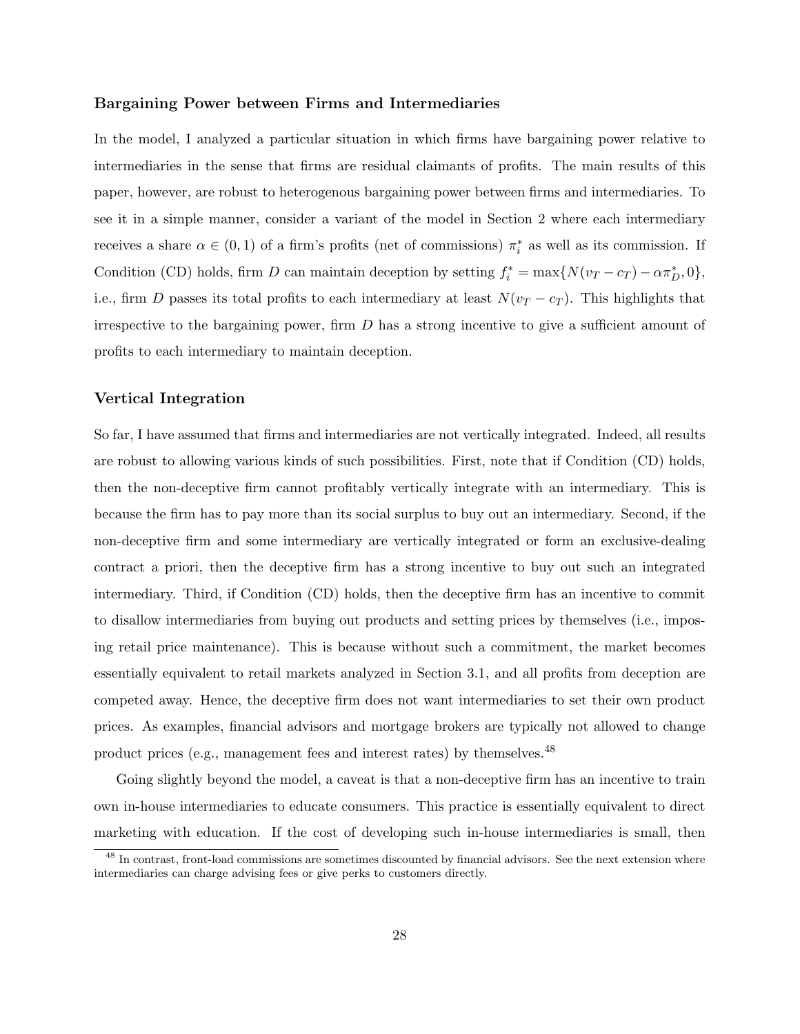#### Bargaining Power between Firms and Intermediaries

In the model, I analyzed a particular situation in which firms have bargaining power relative to intermediaries in the sense that firms are residual claimants of profits. The main results of this paper, however, are robust to heterogenous bargaining power between firms and intermediaries. To see it in a simple manner, consider a variant of the model in Section 2 where each intermediary receives a share  $\alpha \in (0,1)$  of a firm's profits (net of commissions)  $\pi_i^*$  as well as its commission. If Condition (CD) holds, firm D can maintain deception by setting  $f_i^* = \max\{N(v_T - c_T) - \alpha \pi_D^*, 0\},\$ i.e., firm D passes its total profits to each intermediary at least  $N(v_T - c_T)$ . This highlights that irrespective to the bargaining power, firm  $D$  has a strong incentive to give a sufficient amount of profits to each intermediary to maintain deception.

#### Vertical Integration

So far, I have assumed that firms and intermediaries are not vertically integrated. Indeed, all results are robust to allowing various kinds of such possibilities. First, note that if Condition (CD) holds, then the non-deceptive firm cannot profitably vertically integrate with an intermediary. This is because the firm has to pay more than its social surplus to buy out an intermediary. Second, if the non-deceptive firm and some intermediary are vertically integrated or form an exclusive-dealing contract a priori, then the deceptive firm has a strong incentive to buy out such an integrated intermediary. Third, if Condition (CD) holds, then the deceptive firm has an incentive to commit to disallow intermediaries from buying out products and setting prices by themselves (i.e., imposing retail price maintenance). This is because without such a commitment, the market becomes essentially equivalent to retail markets analyzed in Section 3.1, and all profits from deception are competed away. Hence, the deceptive firm does not want intermediaries to set their own product prices. As examples, financial advisors and mortgage brokers are typically not allowed to change product prices (e.g., management fees and interest rates) by themselves.<sup>48</sup>

Going slightly beyond the model, a caveat is that a non-deceptive firm has an incentive to train own in-house intermediaries to educate consumers. This practice is essentially equivalent to direct marketing with education. If the cost of developing such in-house intermediaries is small, then

<sup>&</sup>lt;sup>48</sup> In contrast, front-load commissions are sometimes discounted by financial advisors. See the next extension where intermediaries can charge advising fees or give perks to customers directly.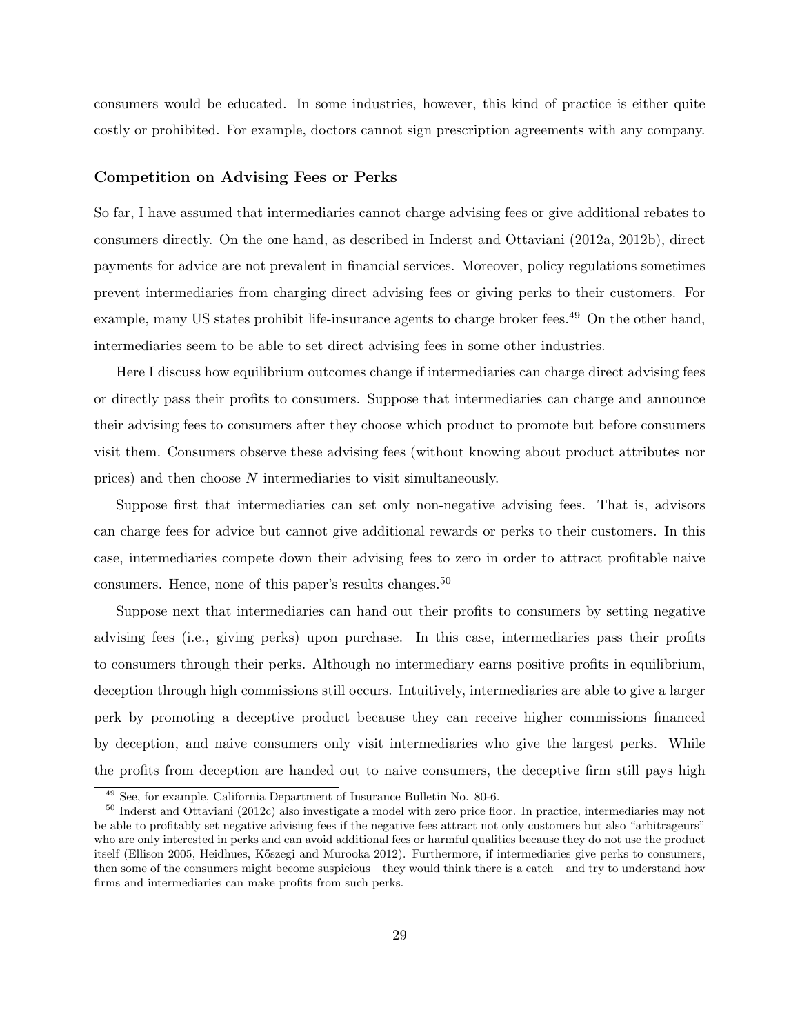consumers would be educated. In some industries, however, this kind of practice is either quite costly or prohibited. For example, doctors cannot sign prescription agreements with any company.

#### Competition on Advising Fees or Perks

So far, I have assumed that intermediaries cannot charge advising fees or give additional rebates to consumers directly. On the one hand, as described in Inderst and Ottaviani (2012a, 2012b), direct payments for advice are not prevalent in financial services. Moreover, policy regulations sometimes prevent intermediaries from charging direct advising fees or giving perks to their customers. For example, many US states prohibit life-insurance agents to charge broker fees.<sup>49</sup> On the other hand, intermediaries seem to be able to set direct advising fees in some other industries.

Here I discuss how equilibrium outcomes change if intermediaries can charge direct advising fees or directly pass their profits to consumers. Suppose that intermediaries can charge and announce their advising fees to consumers after they choose which product to promote but before consumers visit them. Consumers observe these advising fees (without knowing about product attributes nor prices) and then choose N intermediaries to visit simultaneously.

Suppose first that intermediaries can set only non-negative advising fees. That is, advisors can charge fees for advice but cannot give additional rewards or perks to their customers. In this case, intermediaries compete down their advising fees to zero in order to attract profitable naive consumers. Hence, none of this paper's results changes.<sup>50</sup>

Suppose next that intermediaries can hand out their profits to consumers by setting negative advising fees (i.e., giving perks) upon purchase. In this case, intermediaries pass their profits to consumers through their perks. Although no intermediary earns positive profits in equilibrium, deception through high commissions still occurs. Intuitively, intermediaries are able to give a larger perk by promoting a deceptive product because they can receive higher commissions financed by deception, and naive consumers only visit intermediaries who give the largest perks. While the profits from deception are handed out to naive consumers, the deceptive firm still pays high

<sup>49</sup> See, for example, California Department of Insurance Bulletin No. 80-6.

<sup>50</sup> Inderst and Ottaviani (2012c) also investigate a model with zero price floor. In practice, intermediaries may not be able to profitably set negative advising fees if the negative fees attract not only customers but also "arbitrageurs" who are only interested in perks and can avoid additional fees or harmful qualities because they do not use the product itself (Ellison 2005, Heidhues, K˝oszegi and Murooka 2012). Furthermore, if intermediaries give perks to consumers, then some of the consumers might become suspicious—they would think there is a catch—and try to understand how firms and intermediaries can make profits from such perks.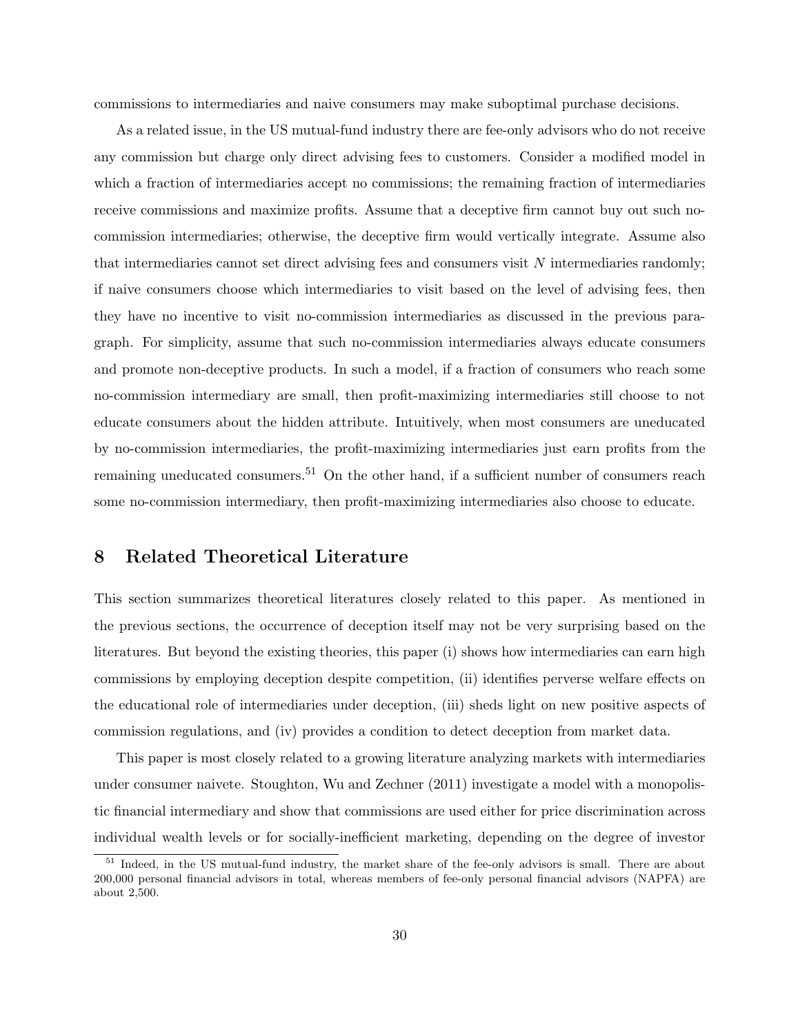commissions to intermediaries and naive consumers may make suboptimal purchase decisions.

As a related issue, in the US mutual-fund industry there are fee-only advisors who do not receive any commission but charge only direct advising fees to customers. Consider a modified model in which a fraction of intermediaries accept no commissions; the remaining fraction of intermediaries receive commissions and maximize profits. Assume that a deceptive firm cannot buy out such nocommission intermediaries; otherwise, the deceptive firm would vertically integrate. Assume also that intermediaries cannot set direct advising fees and consumers visit  $N$  intermediaries randomly; if naive consumers choose which intermediaries to visit based on the level of advising fees, then they have no incentive to visit no-commission intermediaries as discussed in the previous paragraph. For simplicity, assume that such no-commission intermediaries always educate consumers and promote non-deceptive products. In such a model, if a fraction of consumers who reach some no-commission intermediary are small, then profit-maximizing intermediaries still choose to not educate consumers about the hidden attribute. Intuitively, when most consumers are uneducated by no-commission intermediaries, the profit-maximizing intermediaries just earn profits from the remaining uneducated consumers.<sup>51</sup> On the other hand, if a sufficient number of consumers reach some no-commission intermediary, then profit-maximizing intermediaries also choose to educate.

### 8 Related Theoretical Literature

This section summarizes theoretical literatures closely related to this paper. As mentioned in the previous sections, the occurrence of deception itself may not be very surprising based on the literatures. But beyond the existing theories, this paper (i) shows how intermediaries can earn high commissions by employing deception despite competition, (ii) identifies perverse welfare effects on the educational role of intermediaries under deception, (iii) sheds light on new positive aspects of commission regulations, and (iv) provides a condition to detect deception from market data.

This paper is most closely related to a growing literature analyzing markets with intermediaries under consumer naivete. Stoughton, Wu and Zechner (2011) investigate a model with a monopolistic financial intermediary and show that commissions are used either for price discrimination across individual wealth levels or for socially-inefficient marketing, depending on the degree of investor

<sup>&</sup>lt;sup>51</sup> Indeed, in the US mutual-fund industry, the market share of the fee-only advisors is small. There are about 200,000 personal financial advisors in total, whereas members of fee-only personal financial advisors (NAPFA) are about 2,500.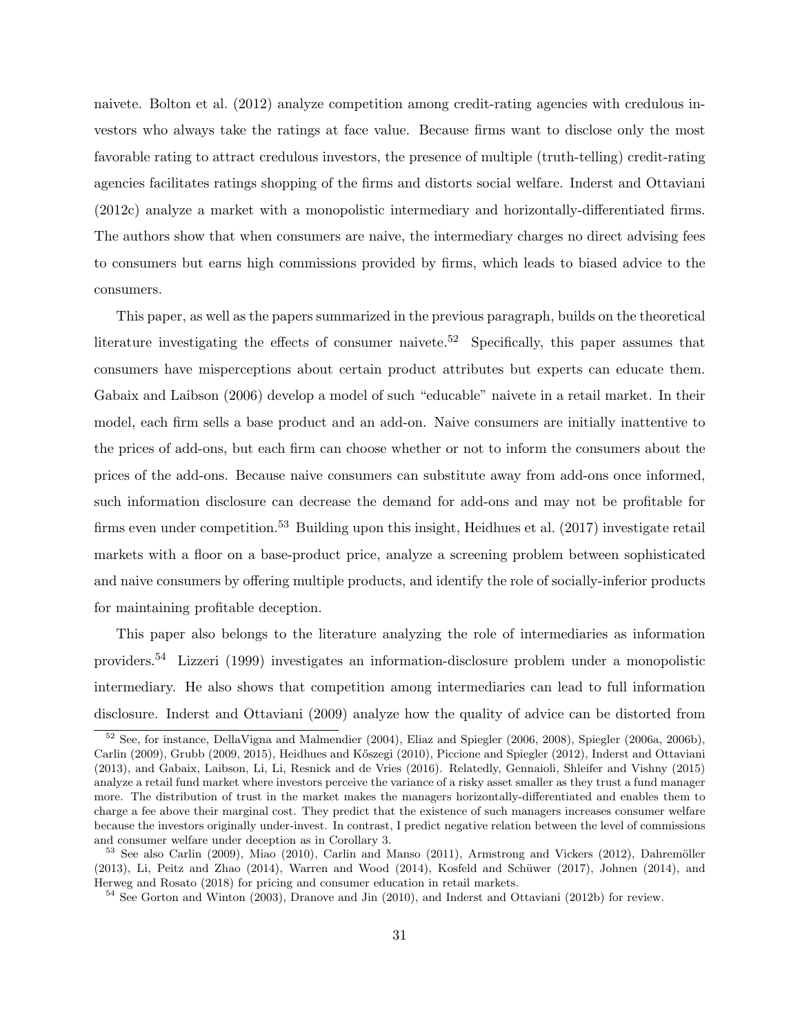naivete. Bolton et al. (2012) analyze competition among credit-rating agencies with credulous investors who always take the ratings at face value. Because firms want to disclose only the most favorable rating to attract credulous investors, the presence of multiple (truth-telling) credit-rating agencies facilitates ratings shopping of the firms and distorts social welfare. Inderst and Ottaviani (2012c) analyze a market with a monopolistic intermediary and horizontally-differentiated firms. The authors show that when consumers are naive, the intermediary charges no direct advising fees to consumers but earns high commissions provided by firms, which leads to biased advice to the consumers.

This paper, as well as the papers summarized in the previous paragraph, builds on the theoretical literature investigating the effects of consumer naivete.<sup>52</sup> Specifically, this paper assumes that consumers have misperceptions about certain product attributes but experts can educate them. Gabaix and Laibson (2006) develop a model of such "educable" naivete in a retail market. In their model, each firm sells a base product and an add-on. Naive consumers are initially inattentive to the prices of add-ons, but each firm can choose whether or not to inform the consumers about the prices of the add-ons. Because naive consumers can substitute away from add-ons once informed, such information disclosure can decrease the demand for add-ons and may not be profitable for firms even under competition.<sup>53</sup> Building upon this insight, Heidhues et al. (2017) investigate retail markets with a floor on a base-product price, analyze a screening problem between sophisticated and naive consumers by offering multiple products, and identify the role of socially-inferior products for maintaining profitable deception.

This paper also belongs to the literature analyzing the role of intermediaries as information providers.<sup>54</sup> Lizzeri (1999) investigates an information-disclosure problem under a monopolistic intermediary. He also shows that competition among intermediaries can lead to full information disclosure. Inderst and Ottaviani (2009) analyze how the quality of advice can be distorted from

<sup>&</sup>lt;sup>52</sup> See, for instance, DellaVigna and Malmendier (2004), Eliaz and Spiegler (2006, 2008), Spiegler (2006a, 2006b), Carlin (2009), Grubb (2009, 2015), Heidhues and Kőszegi (2010), Piccione and Spiegler (2012), Inderst and Ottaviani (2013), and Gabaix, Laibson, Li, Li, Resnick and de Vries (2016). Relatedly, Gennaioli, Shleifer and Vishny (2015) analyze a retail fund market where investors perceive the variance of a risky asset smaller as they trust a fund manager more. The distribution of trust in the market makes the managers horizontally-differentiated and enables them to charge a fee above their marginal cost. They predict that the existence of such managers increases consumer welfare because the investors originally under-invest. In contrast, I predict negative relation between the level of commissions and consumer welfare under deception as in Corollary 3.

<sup>53</sup> See also Carlin (2009), Miao (2010), Carlin and Manso (2011), Armstrong and Vickers (2012), Dahremöller  $(2013)$ , Li, Peitz and Zhao  $(2014)$ , Warren and Wood  $(2014)$ , Kosfeld and Schüwer  $(2017)$ , Johnen  $(2014)$ , and Herweg and Rosato (2018) for pricing and consumer education in retail markets.

<sup>54</sup> See Gorton and Winton (2003), Dranove and Jin (2010), and Inderst and Ottaviani (2012b) for review.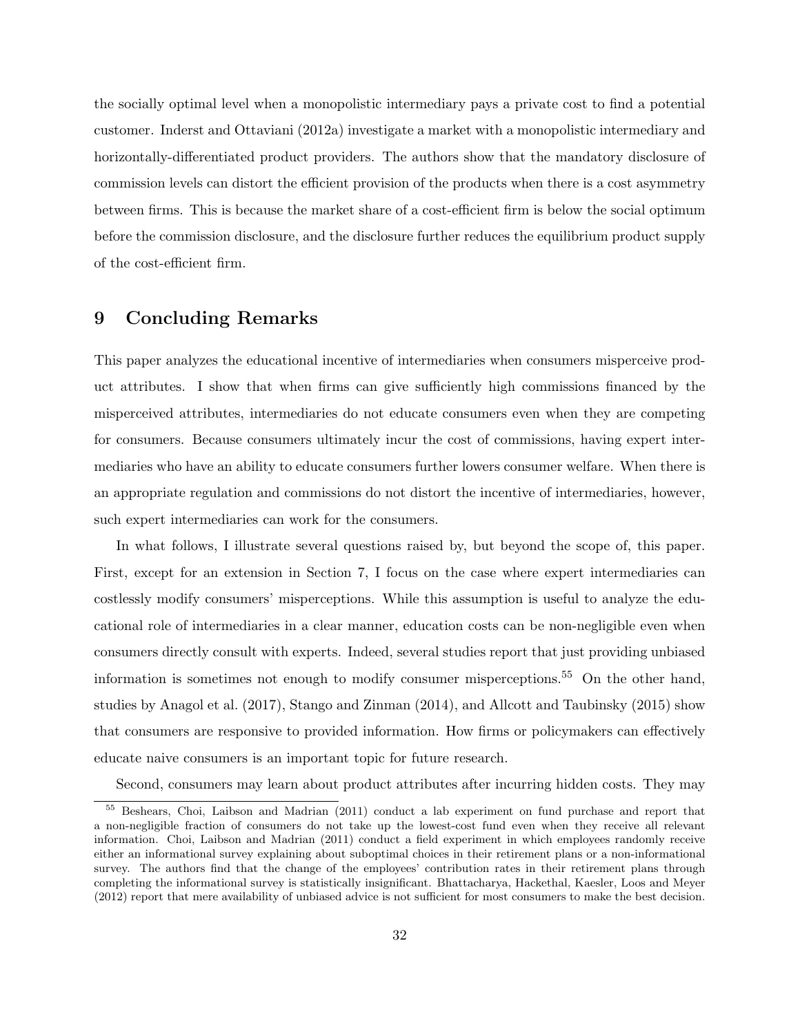the socially optimal level when a monopolistic intermediary pays a private cost to find a potential customer. Inderst and Ottaviani (2012a) investigate a market with a monopolistic intermediary and horizontally-differentiated product providers. The authors show that the mandatory disclosure of commission levels can distort the efficient provision of the products when there is a cost asymmetry between firms. This is because the market share of a cost-efficient firm is below the social optimum before the commission disclosure, and the disclosure further reduces the equilibrium product supply of the cost-efficient firm.

## 9 Concluding Remarks

This paper analyzes the educational incentive of intermediaries when consumers misperceive product attributes. I show that when firms can give sufficiently high commissions financed by the misperceived attributes, intermediaries do not educate consumers even when they are competing for consumers. Because consumers ultimately incur the cost of commissions, having expert intermediaries who have an ability to educate consumers further lowers consumer welfare. When there is an appropriate regulation and commissions do not distort the incentive of intermediaries, however, such expert intermediaries can work for the consumers.

In what follows, I illustrate several questions raised by, but beyond the scope of, this paper. First, except for an extension in Section 7, I focus on the case where expert intermediaries can costlessly modify consumers' misperceptions. While this assumption is useful to analyze the educational role of intermediaries in a clear manner, education costs can be non-negligible even when consumers directly consult with experts. Indeed, several studies report that just providing unbiased information is sometimes not enough to modify consumer misperceptions.<sup>55</sup> On the other hand, studies by Anagol et al. (2017), Stango and Zinman (2014), and Allcott and Taubinsky (2015) show that consumers are responsive to provided information. How firms or policymakers can effectively educate naive consumers is an important topic for future research.

Second, consumers may learn about product attributes after incurring hidden costs. They may

<sup>55</sup> Beshears, Choi, Laibson and Madrian (2011) conduct a lab experiment on fund purchase and report that a non-negligible fraction of consumers do not take up the lowest-cost fund even when they receive all relevant information. Choi, Laibson and Madrian (2011) conduct a field experiment in which employees randomly receive either an informational survey explaining about suboptimal choices in their retirement plans or a non-informational survey. The authors find that the change of the employees' contribution rates in their retirement plans through completing the informational survey is statistically insignificant. Bhattacharya, Hackethal, Kaesler, Loos and Meyer (2012) report that mere availability of unbiased advice is not sufficient for most consumers to make the best decision.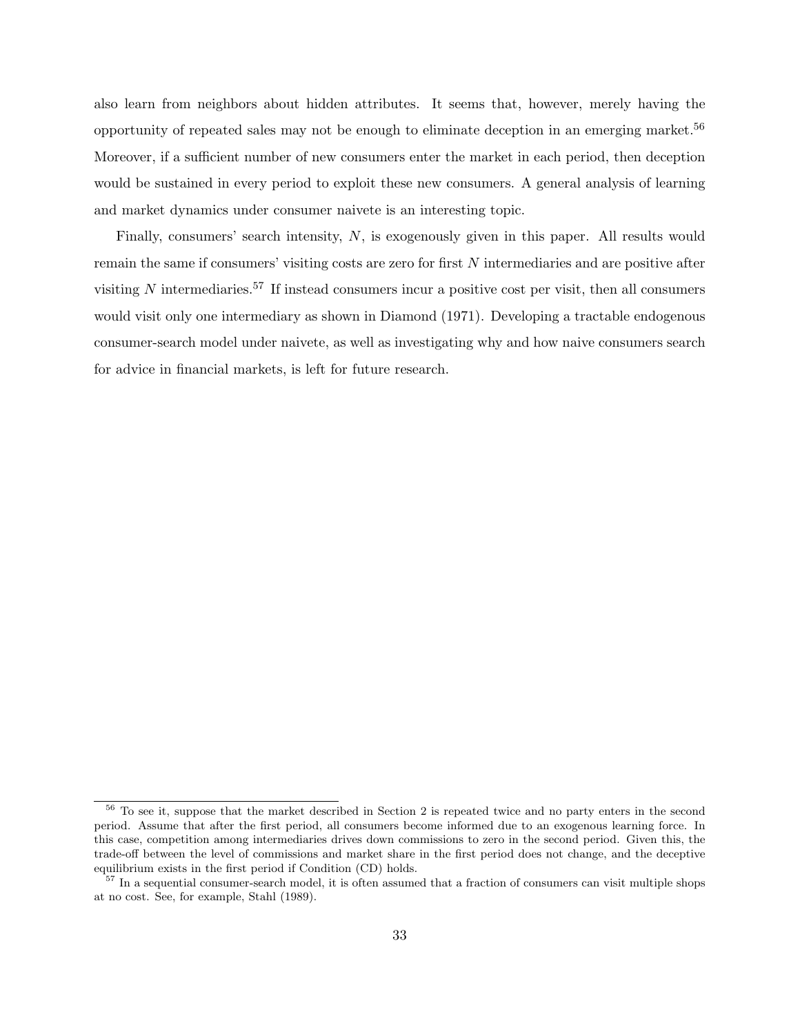also learn from neighbors about hidden attributes. It seems that, however, merely having the opportunity of repeated sales may not be enough to eliminate deception in an emerging market.<sup>56</sup> Moreover, if a sufficient number of new consumers enter the market in each period, then deception would be sustained in every period to exploit these new consumers. A general analysis of learning and market dynamics under consumer naivete is an interesting topic.

Finally, consumers' search intensity, N, is exogenously given in this paper. All results would remain the same if consumers' visiting costs are zero for first N intermediaries and are positive after visiting  $N$  intermediaries.<sup>57</sup> If instead consumers incur a positive cost per visit, then all consumers would visit only one intermediary as shown in Diamond (1971). Developing a tractable endogenous consumer-search model under naivete, as well as investigating why and how naive consumers search for advice in financial markets, is left for future research.

<sup>&</sup>lt;sup>56</sup> To see it, suppose that the market described in Section 2 is repeated twice and no party enters in the second period. Assume that after the first period, all consumers become informed due to an exogenous learning force. In this case, competition among intermediaries drives down commissions to zero in the second period. Given this, the trade-off between the level of commissions and market share in the first period does not change, and the deceptive equilibrium exists in the first period if Condition (CD) holds.

<sup>57</sup> In a sequential consumer-search model, it is often assumed that a fraction of consumers can visit multiple shops at no cost. See, for example, Stahl (1989).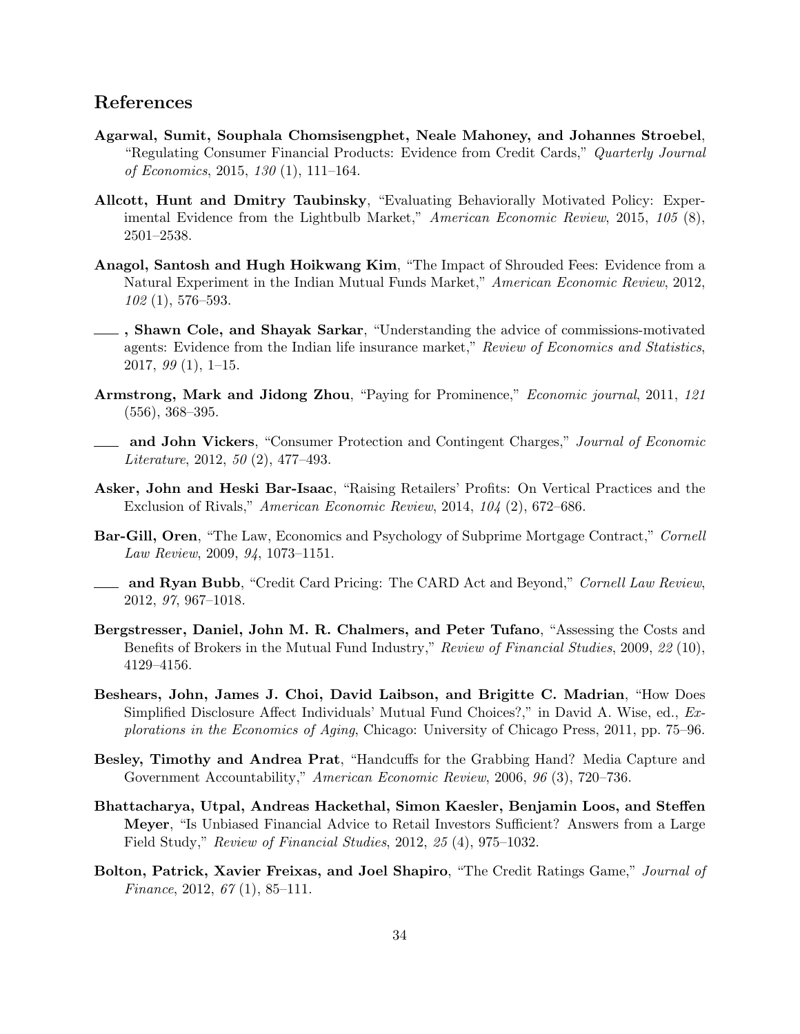## References

- Agarwal, Sumit, Souphala Chomsisengphet, Neale Mahoney, and Johannes Stroebel, "Regulating Consumer Financial Products: Evidence from Credit Cards," Quarterly Journal of Economics, 2015, 130 (1), 111–164.
- Allcott, Hunt and Dmitry Taubinsky, "Evaluating Behaviorally Motivated Policy: Experimental Evidence from the Lightbulb Market," American Economic Review, 2015, 105 (8), 2501–2538.
- Anagol, Santosh and Hugh Hoikwang Kim, "The Impact of Shrouded Fees: Evidence from a Natural Experiment in the Indian Mutual Funds Market," American Economic Review, 2012, 102 (1), 576–593.
- , Shawn Cole, and Shayak Sarkar, "Understanding the advice of commissions-motivated agents: Evidence from the Indian life insurance market," Review of Economics and Statistics, 2017, 99 (1), 1–15.
- Armstrong, Mark and Jidong Zhou, "Paying for Prominence," Economic journal, 2011, 121 (556), 368–395.
- and John Vickers, "Consumer Protection and Contingent Charges," Journal of Economic Literature, 2012, 50 (2), 477–493.
- Asker, John and Heski Bar-Isaac, "Raising Retailers' Profits: On Vertical Practices and the Exclusion of Rivals," American Economic Review, 2014, 104 (2), 672–686.
- Bar-Gill, Oren, "The Law, Economics and Psychology of Subprime Mortgage Contract," Cornell Law Review, 2009, 94, 1073–1151.
- **and Ryan Bubb**, "Credit Card Pricing: The CARD Act and Beyond," Cornell Law Review, 2012, 97, 967–1018.
- Bergstresser, Daniel, John M. R. Chalmers, and Peter Tufano, "Assessing the Costs and Benefits of Brokers in the Mutual Fund Industry," Review of Financial Studies, 2009, 22 (10), 4129–4156.
- Beshears, John, James J. Choi, David Laibson, and Brigitte C. Madrian, "How Does Simplified Disclosure Affect Individuals' Mutual Fund Choices?," in David A. Wise, ed., Explorations in the Economics of Aging, Chicago: University of Chicago Press, 2011, pp. 75–96.
- Besley, Timothy and Andrea Prat, "Handcuffs for the Grabbing Hand? Media Capture and Government Accountability," American Economic Review, 2006, 96 (3), 720–736.
- Bhattacharya, Utpal, Andreas Hackethal, Simon Kaesler, Benjamin Loos, and Steffen Meyer, "Is Unbiased Financial Advice to Retail Investors Sufficient? Answers from a Large Field Study," Review of Financial Studies, 2012, 25 (4), 975–1032.
- Bolton, Patrick, Xavier Freixas, and Joel Shapiro, "The Credit Ratings Game," Journal of Finance, 2012,  $67(1)$ , 85-111.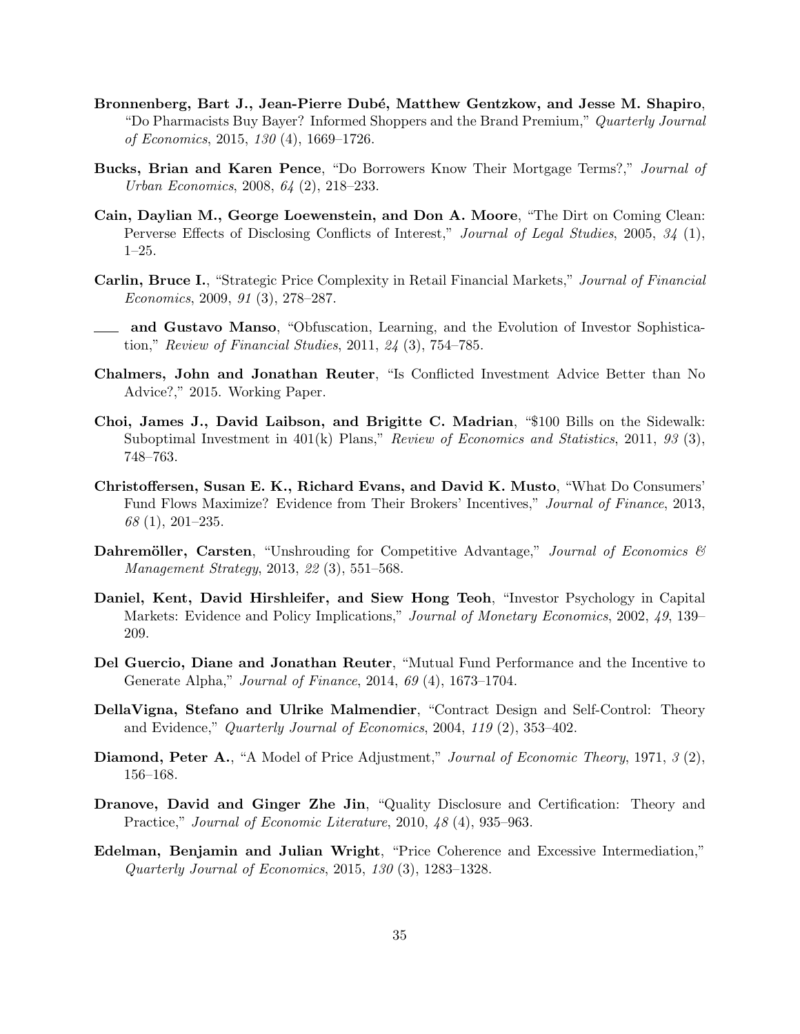- Bronnenberg, Bart J., Jean-Pierre Dubé, Matthew Gentzkow, and Jesse M. Shapiro, "Do Pharmacists Buy Bayer? Informed Shoppers and the Brand Premium," Quarterly Journal of Economics, 2015, 130 (4), 1669–1726.
- Bucks, Brian and Karen Pence, "Do Borrowers Know Their Mortgage Terms?," Journal of Urban Economics, 2008, 64 (2), 218–233.
- Cain, Daylian M., George Loewenstein, and Don A. Moore, "The Dirt on Coming Clean: Perverse Effects of Disclosing Conflicts of Interest," Journal of Legal Studies, 2005, 34 (1), 1–25.
- Carlin, Bruce I., "Strategic Price Complexity in Retail Financial Markets," Journal of Financial Economics, 2009, 91 (3), 278–287.
- and Gustavo Manso, "Obfuscation, Learning, and the Evolution of Investor Sophistication," Review of Financial Studies, 2011, 24 (3), 754–785.
- Chalmers, John and Jonathan Reuter, "Is Conflicted Investment Advice Better than No Advice?," 2015. Working Paper.
- Choi, James J., David Laibson, and Brigitte C. Madrian, "\$100 Bills on the Sidewalk: Suboptimal Investment in  $401(k)$  Plans," Review of Economics and Statistics, 2011, 93 (3), 748–763.
- Christoffersen, Susan E. K., Richard Evans, and David K. Musto, "What Do Consumers' Fund Flows Maximize? Evidence from Their Brokers' Incentives," Journal of Finance, 2013, 68 (1), 201–235.
- **Dahremöller, Carsten**, "Unshrouding for Competitive Advantage," Journal of Economics  $\mathcal{B}$ Management Strategy, 2013, 22 (3), 551–568.
- Daniel, Kent, David Hirshleifer, and Siew Hong Teoh, "Investor Psychology in Capital Markets: Evidence and Policy Implications," *Journal of Monetary Economics*, 2002, 49, 139– 209.
- Del Guercio, Diane and Jonathan Reuter, "Mutual Fund Performance and the Incentive to Generate Alpha," Journal of Finance, 2014, 69 (4), 1673–1704.
- DellaVigna, Stefano and Ulrike Malmendier, "Contract Design and Self-Control: Theory and Evidence," Quarterly Journal of Economics, 2004, 119 (2), 353–402.
- Diamond, Peter A., "A Model of Price Adjustment," Journal of Economic Theory, 1971, 3 (2), 156–168.
- Dranove, David and Ginger Zhe Jin, "Quality Disclosure and Certification: Theory and Practice," Journal of Economic Literature, 2010, 48 (4), 935–963.
- Edelman, Benjamin and Julian Wright, "Price Coherence and Excessive Intermediation," Quarterly Journal of Economics, 2015, 130 (3), 1283–1328.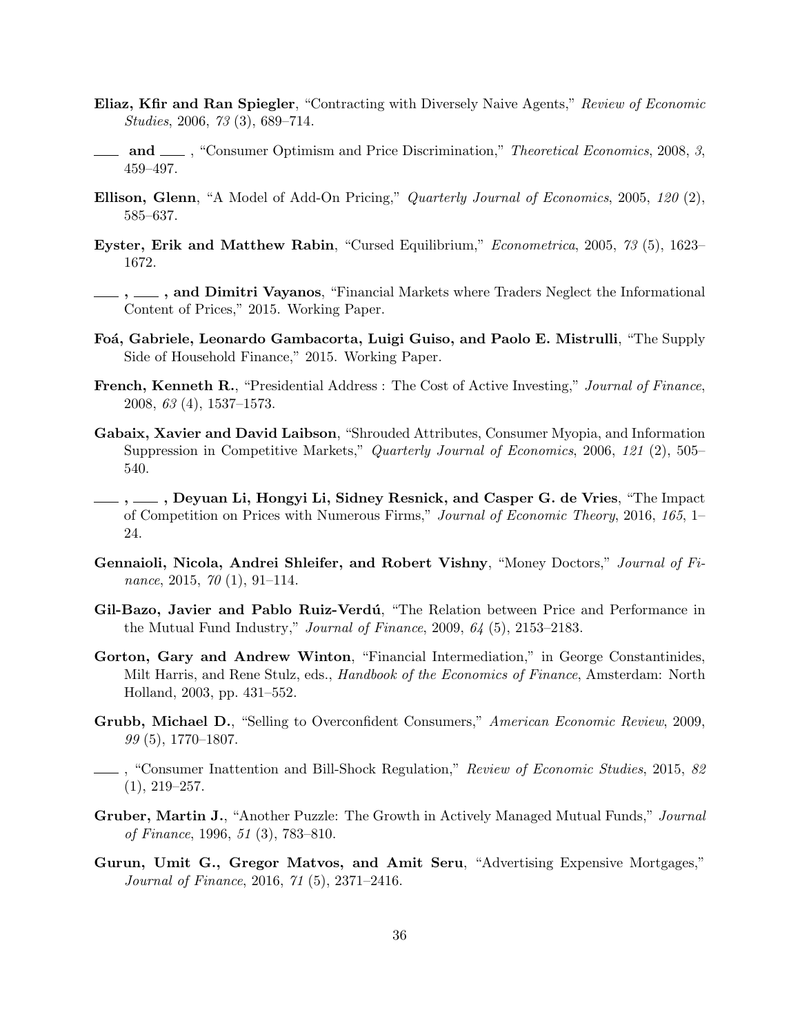- Eliaz, Kfir and Ran Spiegler, "Contracting with Diversely Naive Agents," Review of Economic Studies, 2006, 73 (3), 689–714.
- **and** , "Consumer Optimism and Price Discrimination," *Theoretical Economics*, 2008, 3, 459–497.
- Ellison, Glenn, "A Model of Add-On Pricing," Quarterly Journal of Economics, 2005, 120 (2), 585–637.
- Eyster, Erik and Matthew Rabin, "Cursed Equilibrium," Econometrica, 2005, 73 (5), 1623– 1672.
- $,\_\_\_\$ , and Dimitri Vayanos, "Financial Markets where Traders Neglect the Informational Content of Prices," 2015. Working Paper.
- Foá, Gabriele, Leonardo Gambacorta, Luigi Guiso, and Paolo E. Mistrulli, "The Supply Side of Household Finance," 2015. Working Paper.
- French, Kenneth R., "Presidential Address: The Cost of Active Investing," Journal of Finance, 2008, 63 (4), 1537–1573.
- Gabaix, Xavier and David Laibson, "Shrouded Attributes, Consumer Myopia, and Information Suppression in Competitive Markets," Quarterly Journal of Economics, 2006, 121 (2), 505– 540.
- , , Deyuan Li, Hongyi Li, Sidney Resnick, and Casper G. de Vries, "The Impact of Competition on Prices with Numerous Firms," Journal of Economic Theory, 2016, 165, 1– 24.
- Gennaioli, Nicola, Andrei Shleifer, and Robert Vishny, "Money Doctors," Journal of Finance, 2015, 70 (1), 91–114.
- Gil-Bazo, Javier and Pablo Ruiz-Verdú, "The Relation between Price and Performance in the Mutual Fund Industry," *Journal of Finance*, 2009,  $64$  (5), 2153–2183.
- Gorton, Gary and Andrew Winton, "Financial Intermediation," in George Constantinides, Milt Harris, and Rene Stulz, eds., *Handbook of the Economics of Finance*, Amsterdam: North Holland, 2003, pp. 431–552.
- Grubb, Michael D., "Selling to Overconfident Consumers," American Economic Review, 2009, 99 (5), 1770–1807.
- <sub>1</sub>, "Consumer Inattention and Bill-Shock Regulation," Review of Economic Studies, 2015, 82  $(1), 219 - 257.$
- Gruber, Martin J., "Another Puzzle: The Growth in Actively Managed Mutual Funds," Journal of Finance, 1996, 51 (3), 783–810.
- Gurun, Umit G., Gregor Matvos, and Amit Seru, "Advertising Expensive Mortgages," Journal of Finance, 2016, 71 (5), 2371–2416.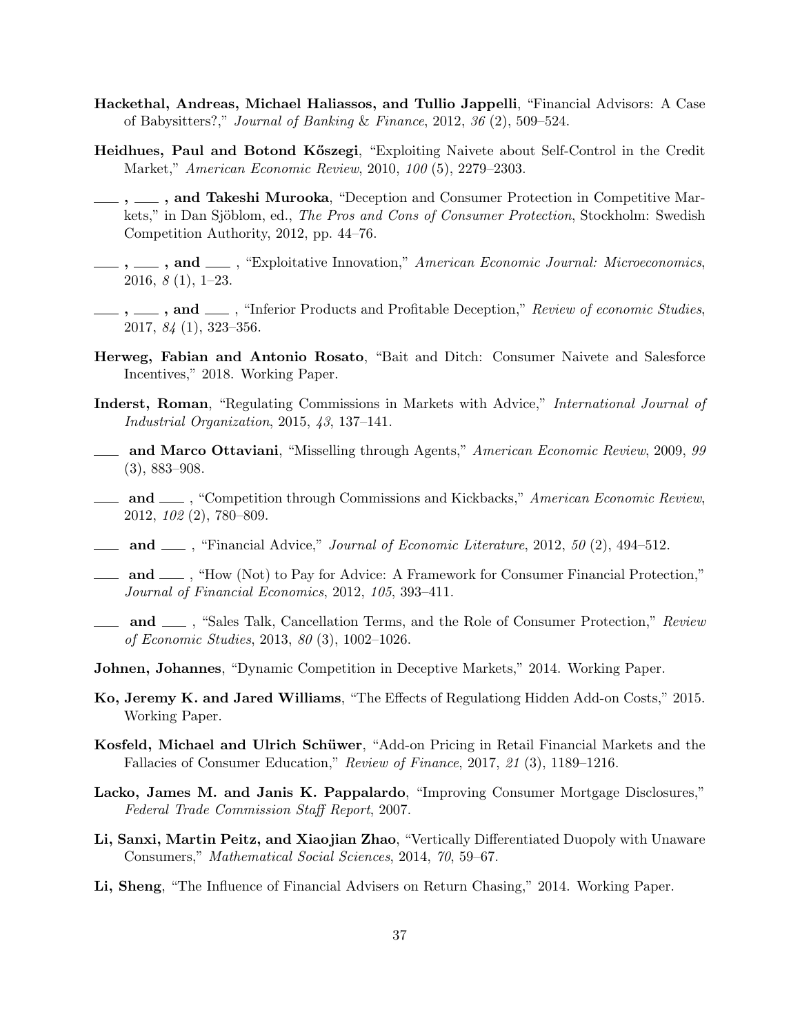- Hackethal, Andreas, Michael Haliassos, and Tullio Jappelli, "Financial Advisors: A Case of Babysitters?," Journal of Banking & Finance, 2012, 36 (2), 509–524.
- Heidhues, Paul and Botond Kőszegi, "Exploiting Naivete about Self-Control in the Credit Market," American Economic Review, 2010, 100 (5), 2279–2303.
- $, \_\_\$ , and Takeshi Murooka, "Deception and Consumer Protection in Competitive Markets," in Dan Sjöblom, ed., The Pros and Cons of Consumer Protection, Stockholm: Swedish Competition Authority, 2012, pp. 44–76.
- $, \_\_\$ , and  $\_\_\$ , "Exploitative Innovation," American Economic Journal: Microeconomics, 2016, 8 (1), 1–23.
- $, \ldots,$  and  $, \ldots,$  "Inferior Products and Profitable Deception," Review of economic Studies, 2017, 84 (1), 323–356.
- Herweg, Fabian and Antonio Rosato, "Bait and Ditch: Consumer Naivete and Salesforce Incentives," 2018. Working Paper.
- Inderst, Roman, "Regulating Commissions in Markets with Advice," International Journal of Industrial Organization, 2015, 43, 137–141.
- **and Marco Ottaviani,** "Misselling through Agents," American Economic Review, 2009, 99 (3), 883–908.
- **and** , "Competition through Commissions and Kickbacks," American Economic Review, 2012, 102 (2), 780–809.
- **and**  $\mu$ , "Financial Advice," *Journal of Economic Literature*, 2012, 50 (2), 494–512.
- and  $\frac{d}{dx}$ , "How (Not) to Pay for Advice: A Framework for Consumer Financial Protection," Journal of Financial Economics, 2012, 105, 393–411.
- **and** , "Sales Talk, Cancellation Terms, and the Role of Consumer Protection," Review of Economic Studies, 2013, 80 (3), 1002–1026.
- Johnen, Johannes, "Dynamic Competition in Deceptive Markets," 2014. Working Paper.
- Ko, Jeremy K. and Jared Williams, "The Effects of Regulationg Hidden Add-on Costs," 2015. Working Paper.
- Kosfeld, Michael and Ulrich Schüwer, "Add-on Pricing in Retail Financial Markets and the Fallacies of Consumer Education," Review of Finance, 2017, 21 (3), 1189–1216.
- Lacko, James M. and Janis K. Pappalardo, "Improving Consumer Mortgage Disclosures," Federal Trade Commission Staff Report, 2007.
- Li, Sanxi, Martin Peitz, and Xiaojian Zhao, "Vertically Differentiated Duopoly with Unaware Consumers," Mathematical Social Sciences, 2014, 70, 59–67.
- Li, Sheng, "The Influence of Financial Advisers on Return Chasing," 2014. Working Paper.